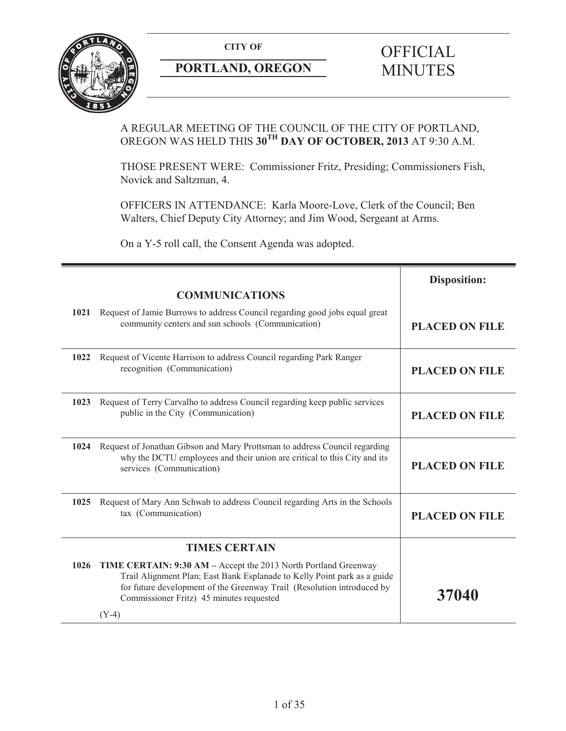

# **PORTLAND, OREGON MINUTES**

# **CITY OF** OFFICIAL

# A REGULAR MEETING OF THE COUNCIL OF THE CITY OF PORTLAND, OREGON WAS HELD THIS **30TH DAY OF OCTOBER, 2013** AT 9:30 A.M.

THOSE PRESENT WERE: Commissioner Fritz, Presiding; Commissioners Fish, Novick and Saltzman, 4.

OFFICERS IN ATTENDANCE: Karla Moore-Love, Clerk of the Council; Ben Walters, Chief Deputy City Attorney; and Jim Wood, Sergeant at Arms.

On a Y-5 roll call, the Consent Agenda was adopted.

|      |                                                                                                                                                                                                                                                                              | <b>Disposition:</b>   |
|------|------------------------------------------------------------------------------------------------------------------------------------------------------------------------------------------------------------------------------------------------------------------------------|-----------------------|
|      | <b>COMMUNICATIONS</b>                                                                                                                                                                                                                                                        |                       |
| 1021 | Request of Jamie Burrows to address Council regarding good jobs equal great<br>community centers and sun schools (Communication)                                                                                                                                             | <b>PLACED ON FILE</b> |
| 1022 | Request of Vicente Harrison to address Council regarding Park Ranger<br>recognition (Communication)                                                                                                                                                                          | <b>PLACED ON FILE</b> |
| 1023 | Request of Terry Carvalho to address Council regarding keep public services<br>public in the City (Communication)                                                                                                                                                            | <b>PLACED ON FILE</b> |
| 1024 | Request of Jonathan Gibson and Mary Prottsman to address Council regarding<br>why the DCTU employees and their union are critical to this City and its<br>services (Communication)                                                                                           | <b>PLACED ON FILE</b> |
| 1025 | Request of Mary Ann Schwab to address Council regarding Arts in the Schools<br>tax (Communication)                                                                                                                                                                           | <b>PLACED ON FILE</b> |
|      | <b>TIMES CERTAIN</b>                                                                                                                                                                                                                                                         |                       |
| 1026 | TIME CERTAIN: 9:30 AM - Accept the 2013 North Portland Greenway<br>Trail Alignment Plan; East Bank Esplanade to Kelly Point park as a guide<br>for future development of the Greenway Trail (Resolution introduced by<br>Commissioner Fritz) 45 minutes requested<br>$(Y-4)$ | 37040                 |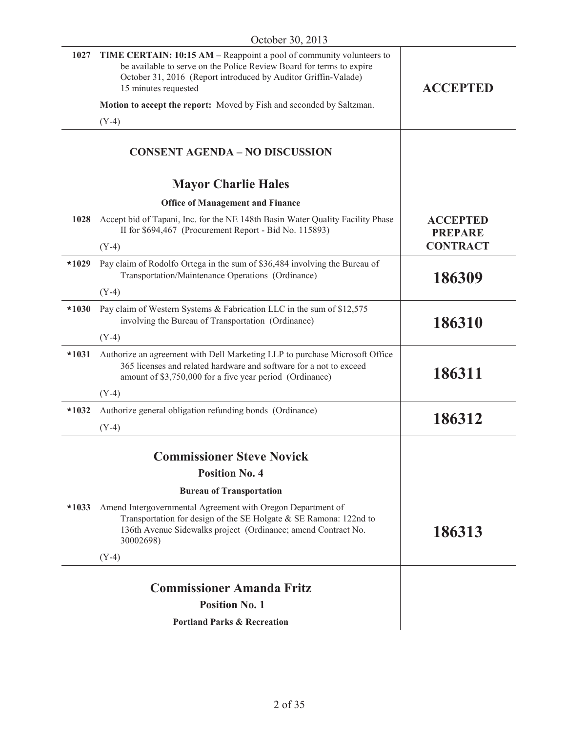| 1027    | TIME CERTAIN: 10:15 AM - Reappoint a pool of community volunteers to<br>be available to serve on the Police Review Board for terms to expire<br>October 31, 2016 (Report introduced by Auditor Griffin-Valade)<br>15 minutes requested | <b>ACCEPTED</b>                   |
|---------|----------------------------------------------------------------------------------------------------------------------------------------------------------------------------------------------------------------------------------------|-----------------------------------|
|         | Motion to accept the report: Moved by Fish and seconded by Saltzman.                                                                                                                                                                   |                                   |
|         | $(Y-4)$                                                                                                                                                                                                                                |                                   |
|         | <b>CONSENT AGENDA - NO DISCUSSION</b>                                                                                                                                                                                                  |                                   |
|         | <b>Mayor Charlie Hales</b>                                                                                                                                                                                                             |                                   |
|         | <b>Office of Management and Finance</b>                                                                                                                                                                                                |                                   |
| 1028    | Accept bid of Tapani, Inc. for the NE 148th Basin Water Quality Facility Phase<br>II for \$694,467 (Procurement Report - Bid No. 115893)                                                                                               | <b>ACCEPTED</b><br><b>PREPARE</b> |
|         | $(Y-4)$                                                                                                                                                                                                                                | <b>CONTRACT</b>                   |
| $*1029$ | Pay claim of Rodolfo Ortega in the sum of \$36,484 involving the Bureau of<br>Transportation/Maintenance Operations (Ordinance)                                                                                                        | 186309                            |
|         | $(Y-4)$                                                                                                                                                                                                                                |                                   |
| $*1030$ | Pay claim of Western Systems & Fabrication LLC in the sum of \$12,575<br>involving the Bureau of Transportation (Ordinance)                                                                                                            | 186310                            |
|         | $(Y-4)$                                                                                                                                                                                                                                |                                   |
| $*1031$ | Authorize an agreement with Dell Marketing LLP to purchase Microsoft Office<br>365 licenses and related hardware and software for a not to exceed<br>amount of \$3,750,000 for a five year period (Ordinance)                          | 186311                            |
|         | $(Y-4)$                                                                                                                                                                                                                                |                                   |
| $*1032$ | Authorize general obligation refunding bonds (Ordinance)                                                                                                                                                                               | 186312                            |
|         | $(Y-4)$                                                                                                                                                                                                                                |                                   |
|         | <b>Commissioner Steve Novick</b>                                                                                                                                                                                                       |                                   |
|         | <b>Position No. 4</b>                                                                                                                                                                                                                  |                                   |
|         | <b>Bureau of Transportation</b>                                                                                                                                                                                                        |                                   |
| $*1033$ | Amend Intergovernmental Agreement with Oregon Department of<br>Transportation for design of the SE Holgate & SE Ramona: 122nd to<br>136th Avenue Sidewalks project (Ordinance; amend Contract No.<br>30002698)                         | 186313                            |
|         | $(Y-4)$                                                                                                                                                                                                                                |                                   |
|         | <b>Commissioner Amanda Fritz</b>                                                                                                                                                                                                       |                                   |
|         | <b>Position No. 1</b>                                                                                                                                                                                                                  |                                   |
|         | <b>Portland Parks &amp; Recreation</b>                                                                                                                                                                                                 |                                   |
|         |                                                                                                                                                                                                                                        |                                   |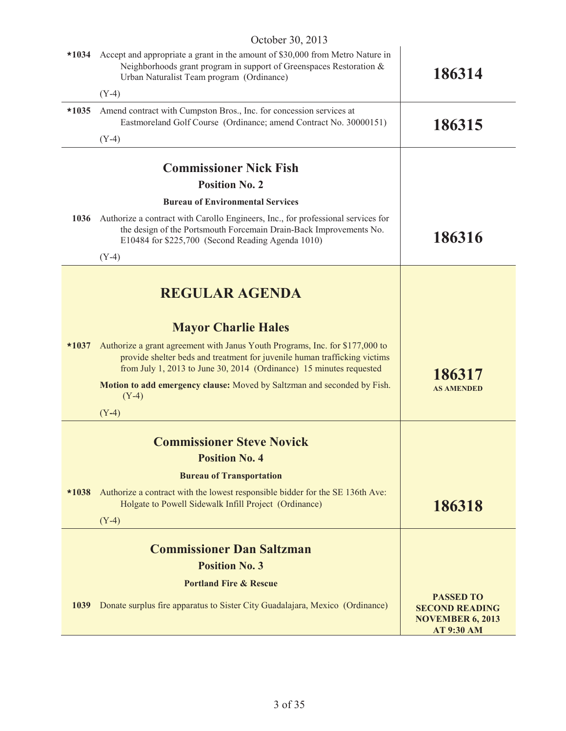| $*1034$ | OCIOUCI JU, $201J$<br>Accept and appropriate a grant in the amount of \$30,000 from Metro Nature in                                                                                                                              |                                                                                           |
|---------|----------------------------------------------------------------------------------------------------------------------------------------------------------------------------------------------------------------------------------|-------------------------------------------------------------------------------------------|
|         | Neighborhoods grant program in support of Greenspaces Restoration &<br>Urban Naturalist Team program (Ordinance)                                                                                                                 | 186314                                                                                    |
|         | $(Y-4)$                                                                                                                                                                                                                          |                                                                                           |
| $*1035$ | Amend contract with Cumpston Bros., Inc. for concession services at<br>Eastmoreland Golf Course (Ordinance; amend Contract No. 30000151)                                                                                         | 186315                                                                                    |
|         | $(Y-4)$                                                                                                                                                                                                                          |                                                                                           |
|         | <b>Commissioner Nick Fish</b>                                                                                                                                                                                                    |                                                                                           |
|         | <b>Position No. 2</b>                                                                                                                                                                                                            |                                                                                           |
|         | <b>Bureau of Environmental Services</b>                                                                                                                                                                                          |                                                                                           |
| 1036    | Authorize a contract with Carollo Engineers, Inc., for professional services for<br>the design of the Portsmouth Forcemain Drain-Back Improvements No.<br>E10484 for \$225,700 (Second Reading Agenda 1010)                      | 186316                                                                                    |
|         | $(Y-4)$                                                                                                                                                                                                                          |                                                                                           |
|         |                                                                                                                                                                                                                                  |                                                                                           |
|         | <b>REGULAR AGENDA</b>                                                                                                                                                                                                            |                                                                                           |
|         | <b>Mayor Charlie Hales</b>                                                                                                                                                                                                       |                                                                                           |
| $*1037$ | Authorize a grant agreement with Janus Youth Programs, Inc. for \$177,000 to<br>provide shelter beds and treatment for juvenile human trafficking victims<br>from July 1, 2013 to June 30, 2014 (Ordinance) 15 minutes requested | 186317                                                                                    |
|         | Motion to add emergency clause: Moved by Saltzman and seconded by Fish.<br>$(Y-4)$                                                                                                                                               | <b>AS AMENDED</b>                                                                         |
|         | $(Y-4)$                                                                                                                                                                                                                          |                                                                                           |
|         | <b>Commissioner Steve Novick</b>                                                                                                                                                                                                 |                                                                                           |
|         | <b>Position No. 4</b>                                                                                                                                                                                                            |                                                                                           |
|         | <b>Bureau of Transportation</b>                                                                                                                                                                                                  |                                                                                           |
| $*1038$ | Authorize a contract with the lowest responsible bidder for the SE 136th Ave:<br>Holgate to Powell Sidewalk Infill Project (Ordinance)                                                                                           | 186318                                                                                    |
|         | $(Y-4)$                                                                                                                                                                                                                          |                                                                                           |
|         | <b>Commissioner Dan Saltzman</b>                                                                                                                                                                                                 |                                                                                           |
|         | <b>Position No. 3</b>                                                                                                                                                                                                            |                                                                                           |
|         | <b>Portland Fire &amp; Rescue</b>                                                                                                                                                                                                |                                                                                           |
| 1039    | Donate surplus fire apparatus to Sister City Guadalajara, Mexico (Ordinance)                                                                                                                                                     | <b>PASSED TO</b><br><b>SECOND READING</b><br><b>NOVEMBER 6, 2013</b><br><b>AT 9:30 AM</b> |
|         |                                                                                                                                                                                                                                  |                                                                                           |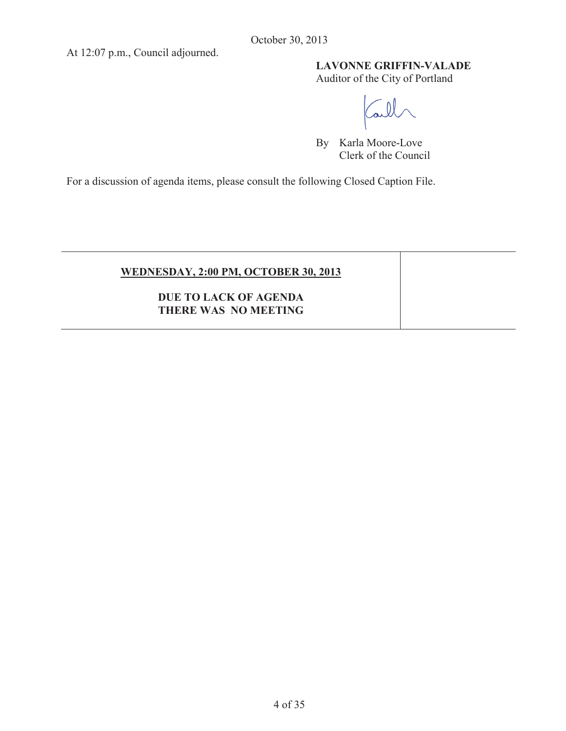At 12:07 p.m., Council adjourned.

# **LAVONNE GRIFFIN-VALADE**

Auditor of the City of Portland

all

By Karla Moore-Love Clerk of the Council

For a discussion of agenda items, please consult the following Closed Caption File.

| <b>WEDNESDAY, 2:00 PM, OCTOBER 30, 2013</b> |  |
|---------------------------------------------|--|
| <b>DUE TO LACK OF AGENDA</b>                |  |
| <b>THERE WAS NO MEETING</b>                 |  |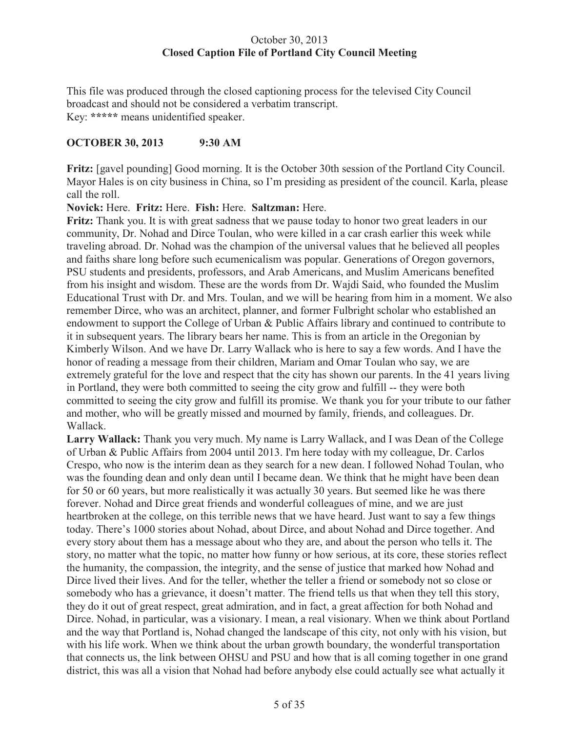# October 30, 2013 **Closed Caption File of Portland City Council Meeting**

This file was produced through the closed captioning process for the televised City Council broadcast and should not be considered a verbatim transcript. Key: **\*\*\*\*\*** means unidentified speaker.

# **OCTOBER 30, 2013 9:30 AM**

**Fritz:** [gavel pounding] Good morning. It is the October 30th session of the Portland City Council. Mayor Hales is on city business in China, so I'm presiding as president of the council. Karla, please call the roll.

# **Novick:** Here. **Fritz:** Here. **Fish:** Here. **Saltzman:** Here.

**Fritz:** Thank you. It is with great sadness that we pause today to honor two great leaders in our community, Dr. Nohad and Dirce Toulan, who were killed in a car crash earlier this week while traveling abroad. Dr. Nohad was the champion of the universal values that he believed all peoples and faiths share long before such ecumenicalism was popular. Generations of Oregon governors, PSU students and presidents, professors, and Arab Americans, and Muslim Americans benefited from his insight and wisdom. These are the words from Dr. Wajdi Said, who founded the Muslim Educational Trust with Dr. and Mrs. Toulan, and we will be hearing from him in a moment. We also remember Dirce, who was an architect, planner, and former Fulbright scholar who established an endowment to support the College of Urban & Public Affairs library and continued to contribute to it in subsequent years. The library bears her name. This is from an article in the Oregonian by Kimberly Wilson. And we have Dr. Larry Wallack who is here to say a few words. And I have the honor of reading a message from their children, Mariam and Omar Toulan who say, we are extremely grateful for the love and respect that the city has shown our parents. In the 41 years living in Portland, they were both committed to seeing the city grow and fulfill -- they were both committed to seeing the city grow and fulfill its promise. We thank you for your tribute to our father and mother, who will be greatly missed and mourned by family, friends, and colleagues. Dr. Wallack.

**Larry Wallack:** Thank you very much. My name is Larry Wallack, and I was Dean of the College of Urban & Public Affairs from 2004 until 2013. I'm here today with my colleague, Dr. Carlos Crespo, who now is the interim dean as they search for a new dean. I followed Nohad Toulan, who was the founding dean and only dean until I became dean. We think that he might have been dean for 50 or 60 years, but more realistically it was actually 30 years. But seemed like he was there forever. Nohad and Dirce great friends and wonderful colleagues of mine, and we are just heartbroken at the college, on this terrible news that we have heard. Just want to say a few things today. There's 1000 stories about Nohad, about Dirce, and about Nohad and Dirce together. And every story about them has a message about who they are, and about the person who tells it. The story, no matter what the topic, no matter how funny or how serious, at its core, these stories reflect the humanity, the compassion, the integrity, and the sense of justice that marked how Nohad and Dirce lived their lives. And for the teller, whether the teller a friend or somebody not so close or somebody who has a grievance, it doesn't matter. The friend tells us that when they tell this story, they do it out of great respect, great admiration, and in fact, a great affection for both Nohad and Dirce. Nohad, in particular, was a visionary. I mean, a real visionary. When we think about Portland and the way that Portland is, Nohad changed the landscape of this city, not only with his vision, but with his life work. When we think about the urban growth boundary, the wonderful transportation that connects us, the link between OHSU and PSU and how that is all coming together in one grand district, this was all a vision that Nohad had before anybody else could actually see what actually it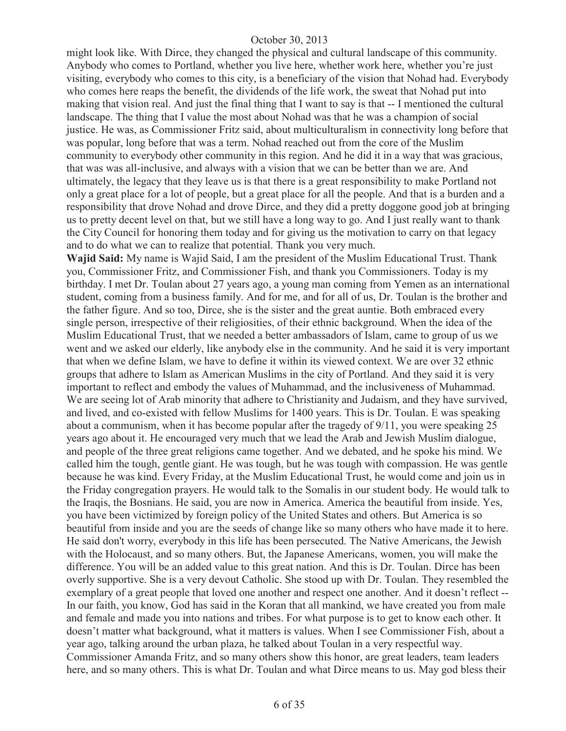might look like. With Dirce, they changed the physical and cultural landscape of this community. Anybody who comes to Portland, whether you live here, whether work here, whether you're just visiting, everybody who comes to this city, is a beneficiary of the vision that Nohad had. Everybody who comes here reaps the benefit, the dividends of the life work, the sweat that Nohad put into making that vision real. And just the final thing that I want to say is that -- I mentioned the cultural landscape. The thing that I value the most about Nohad was that he was a champion of social justice. He was, as Commissioner Fritz said, about multiculturalism in connectivity long before that was popular, long before that was a term. Nohad reached out from the core of the Muslim community to everybody other community in this region. And he did it in a way that was gracious, that was was all-inclusive, and always with a vision that we can be better than we are. And ultimately, the legacy that they leave us is that there is a great responsibility to make Portland not only a great place for a lot of people, but a great place for all the people. And that is a burden and a responsibility that drove Nohad and drove Dirce, and they did a pretty doggone good job at bringing us to pretty decent level on that, but we still have a long way to go. And I just really want to thank the City Council for honoring them today and for giving us the motivation to carry on that legacy and to do what we can to realize that potential. Thank you very much.

**Wajid Said:** My name is Wajid Said, I am the president of the Muslim Educational Trust. Thank you, Commissioner Fritz, and Commissioner Fish, and thank you Commissioners. Today is my birthday. I met Dr. Toulan about 27 years ago, a young man coming from Yemen as an international student, coming from a business family. And for me, and for all of us, Dr. Toulan is the brother and the father figure. And so too, Dirce, she is the sister and the great auntie. Both embraced every single person, irrespective of their religiosities, of their ethnic background. When the idea of the Muslim Educational Trust, that we needed a better ambassadors of Islam, came to group of us we went and we asked our elderly, like anybody else in the community. And he said it is very important that when we define Islam, we have to define it within its viewed context. We are over 32 ethnic groups that adhere to Islam as American Muslims in the city of Portland. And they said it is very important to reflect and embody the values of Muhammad, and the inclusiveness of Muhammad. We are seeing lot of Arab minority that adhere to Christianity and Judaism, and they have survived, and lived, and co-existed with fellow Muslims for 1400 years. This is Dr. Toulan. E was speaking about a communism, when it has become popular after the tragedy of 9/11, you were speaking 25 years ago about it. He encouraged very much that we lead the Arab and Jewish Muslim dialogue, and people of the three great religions came together. And we debated, and he spoke his mind. We called him the tough, gentle giant. He was tough, but he was tough with compassion. He was gentle because he was kind. Every Friday, at the Muslim Educational Trust, he would come and join us in the Friday congregation prayers. He would talk to the Somalis in our student body. He would talk to the Iraqis, the Bosnians. He said, you are now in America. America the beautiful from inside. Yes, you have been victimized by foreign policy of the United States and others. But America is so beautiful from inside and you are the seeds of change like so many others who have made it to here. He said don't worry, everybody in this life has been persecuted. The Native Americans, the Jewish with the Holocaust, and so many others. But, the Japanese Americans, women, you will make the difference. You will be an added value to this great nation. And this is Dr. Toulan. Dirce has been overly supportive. She is a very devout Catholic. She stood up with Dr. Toulan. They resembled the exemplary of a great people that loved one another and respect one another. And it doesn't reflect -- In our faith, you know, God has said in the Koran that all mankind, we have created you from male and female and made you into nations and tribes. For what purpose is to get to know each other. It doesn't matter what background, what it matters is values. When I see Commissioner Fish, about a year ago, talking around the urban plaza, he talked about Toulan in a very respectful way. Commissioner Amanda Fritz, and so many others show this honor, are great leaders, team leaders here, and so many others. This is what Dr. Toulan and what Dirce means to us. May god bless their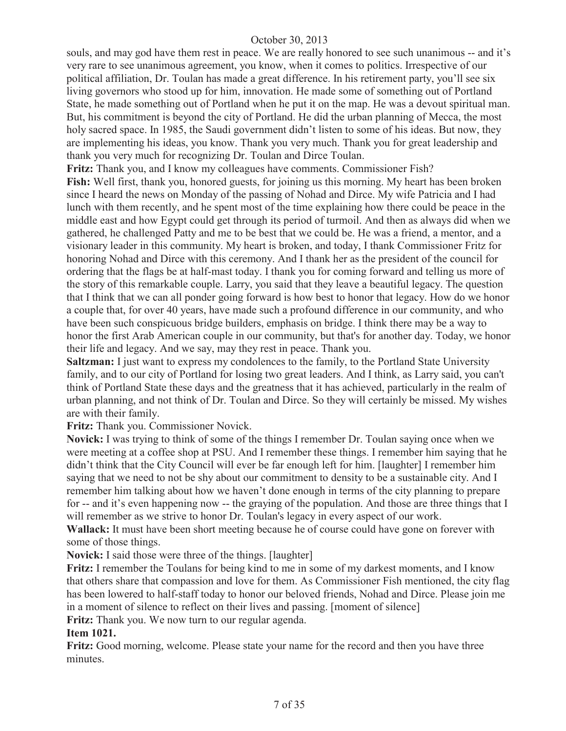souls, and may god have them rest in peace. We are really honored to see such unanimous -- and it's very rare to see unanimous agreement, you know, when it comes to politics. Irrespective of our political affiliation, Dr. Toulan has made a great difference. In his retirement party, you'll see six living governors who stood up for him, innovation. He made some of something out of Portland State, he made something out of Portland when he put it on the map. He was a devout spiritual man. But, his commitment is beyond the city of Portland. He did the urban planning of Mecca, the most holy sacred space. In 1985, the Saudi government didn't listen to some of his ideas. But now, they are implementing his ideas, you know. Thank you very much. Thank you for great leadership and thank you very much for recognizing Dr. Toulan and Dirce Toulan.

**Fritz:** Thank you, and I know my colleagues have comments. Commissioner Fish?

**Fish:** Well first, thank you, honored guests, for joining us this morning. My heart has been broken since I heard the news on Monday of the passing of Nohad and Dirce. My wife Patricia and I had lunch with them recently, and he spent most of the time explaining how there could be peace in the middle east and how Egypt could get through its period of turmoil. And then as always did when we gathered, he challenged Patty and me to be best that we could be. He was a friend, a mentor, and a visionary leader in this community. My heart is broken, and today, I thank Commissioner Fritz for honoring Nohad and Dirce with this ceremony. And I thank her as the president of the council for ordering that the flags be at half-mast today. I thank you for coming forward and telling us more of the story of this remarkable couple. Larry, you said that they leave a beautiful legacy. The question that I think that we can all ponder going forward is how best to honor that legacy. How do we honor a couple that, for over 40 years, have made such a profound difference in our community, and who have been such conspicuous bridge builders, emphasis on bridge. I think there may be a way to honor the first Arab American couple in our community, but that's for another day. Today, we honor their life and legacy. And we say, may they rest in peace. Thank you.

**Saltzman:** I just want to express my condolences to the family, to the Portland State University family, and to our city of Portland for losing two great leaders. And I think, as Larry said, you can't think of Portland State these days and the greatness that it has achieved, particularly in the realm of urban planning, and not think of Dr. Toulan and Dirce. So they will certainly be missed. My wishes are with their family.

**Fritz:** Thank you. Commissioner Novick.

**Novick:** I was trying to think of some of the things I remember Dr. Toulan saying once when we were meeting at a coffee shop at PSU. And I remember these things. I remember him saying that he didn't think that the City Council will ever be far enough left for him. [laughter] I remember him saying that we need to not be shy about our commitment to density to be a sustainable city. And I remember him talking about how we haven't done enough in terms of the city planning to prepare for -- and it's even happening now -- the graying of the population. And those are three things that I will remember as we strive to honor Dr. Toulan's legacy in every aspect of our work.

**Wallack:** It must have been short meeting because he of course could have gone on forever with some of those things.

**Novick:** I said those were three of the things. [laughter]

**Fritz:** I remember the Toulans for being kind to me in some of my darkest moments, and I know that others share that compassion and love for them. As Commissioner Fish mentioned, the city flag has been lowered to half-staff today to honor our beloved friends, Nohad and Dirce. Please join me in a moment of silence to reflect on their lives and passing. [moment of silence]

**Fritz:** Thank you. We now turn to our regular agenda.

# **Item 1021.**

**Fritz:** Good morning, welcome. Please state your name for the record and then you have three minutes.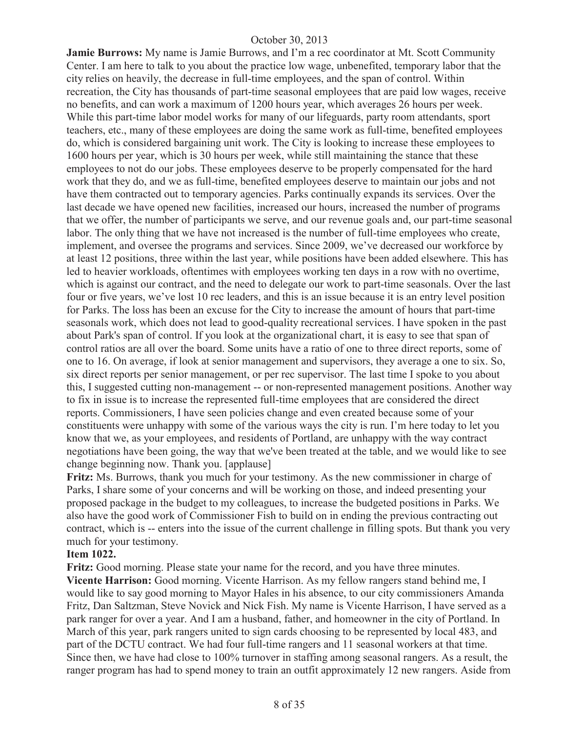**Jamie Burrows:** My name is Jamie Burrows, and I'm a rec coordinator at Mt. Scott Community Center. I am here to talk to you about the practice low wage, unbenefited, temporary labor that the city relies on heavily, the decrease in full-time employees, and the span of control. Within recreation, the City has thousands of part-time seasonal employees that are paid low wages, receive no benefits, and can work a maximum of 1200 hours year, which averages 26 hours per week. While this part-time labor model works for many of our lifeguards, party room attendants, sport teachers, etc., many of these employees are doing the same work as full-time, benefited employees do, which is considered bargaining unit work. The City is looking to increase these employees to 1600 hours per year, which is 30 hours per week, while still maintaining the stance that these employees to not do our jobs. These employees deserve to be properly compensated for the hard work that they do, and we as full-time, benefited employees deserve to maintain our jobs and not have them contracted out to temporary agencies. Parks continually expands its services. Over the last decade we have opened new facilities, increased our hours, increased the number of programs that we offer, the number of participants we serve, and our revenue goals and, our part-time seasonal labor. The only thing that we have not increased is the number of full-time employees who create, implement, and oversee the programs and services. Since 2009, we've decreased our workforce by at least 12 positions, three within the last year, while positions have been added elsewhere. This has led to heavier workloads, oftentimes with employees working ten days in a row with no overtime, which is against our contract, and the need to delegate our work to part-time seasonals. Over the last four or five years, we've lost 10 rec leaders, and this is an issue because it is an entry level position for Parks. The loss has been an excuse for the City to increase the amount of hours that part-time seasonals work, which does not lead to good-quality recreational services. I have spoken in the past about Park's span of control. If you look at the organizational chart, it is easy to see that span of control ratios are all over the board. Some units have a ratio of one to three direct reports, some of one to 16. On average, if look at senior management and supervisors, they average a one to six. So, six direct reports per senior management, or per rec supervisor. The last time I spoke to you about this, I suggested cutting non-management -- or non-represented management positions. Another way to fix in issue is to increase the represented full-time employees that are considered the direct reports. Commissioners, I have seen policies change and even created because some of your constituents were unhappy with some of the various ways the city is run. I'm here today to let you know that we, as your employees, and residents of Portland, are unhappy with the way contract negotiations have been going, the way that we've been treated at the table, and we would like to see change beginning now. Thank you. [applause]

**Fritz:** Ms. Burrows, thank you much for your testimony. As the new commissioner in charge of Parks, I share some of your concerns and will be working on those, and indeed presenting your proposed package in the budget to my colleagues, to increase the budgeted positions in Parks. We also have the good work of Commissioner Fish to build on in ending the previous contracting out contract, which is -- enters into the issue of the current challenge in filling spots. But thank you very much for your testimony.

#### **Item 1022.**

**Fritz:** Good morning. Please state your name for the record, and you have three minutes. **Vicente Harrison:** Good morning. Vicente Harrison. As my fellow rangers stand behind me, I would like to say good morning to Mayor Hales in his absence, to our city commissioners Amanda Fritz, Dan Saltzman, Steve Novick and Nick Fish. My name is Vicente Harrison, I have served as a park ranger for over a year. And I am a husband, father, and homeowner in the city of Portland. In March of this year, park rangers united to sign cards choosing to be represented by local 483, and part of the DCTU contract. We had four full-time rangers and 11 seasonal workers at that time. Since then, we have had close to 100% turnover in staffing among seasonal rangers. As a result, the ranger program has had to spend money to train an outfit approximately 12 new rangers. Aside from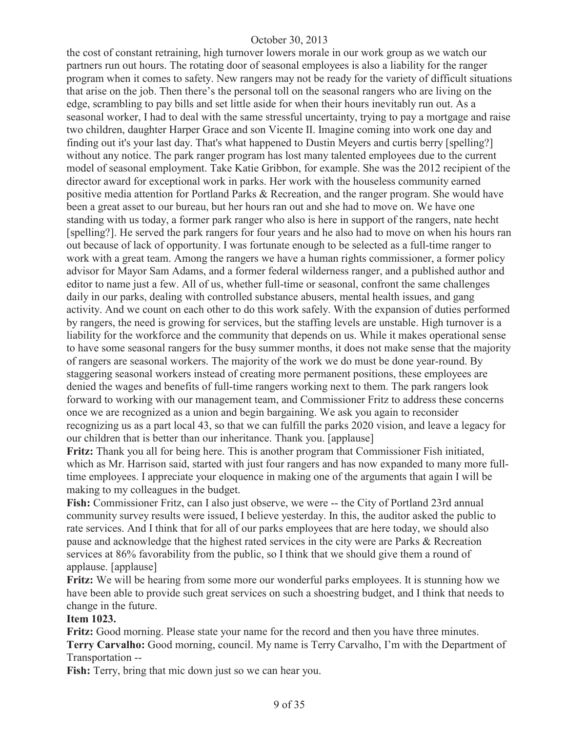the cost of constant retraining, high turnover lowers morale in our work group as we watch our partners run out hours. The rotating door of seasonal employees is also a liability for the ranger program when it comes to safety. New rangers may not be ready for the variety of difficult situations that arise on the job. Then there's the personal toll on the seasonal rangers who are living on the edge, scrambling to pay bills and set little aside for when their hours inevitably run out. As a seasonal worker, I had to deal with the same stressful uncertainty, trying to pay a mortgage and raise two children, daughter Harper Grace and son Vicente II. Imagine coming into work one day and finding out it's your last day. That's what happened to Dustin Meyers and curtis berry [spelling?] without any notice. The park ranger program has lost many talented employees due to the current model of seasonal employment. Take Katie Gribbon, for example. She was the 2012 recipient of the director award for exceptional work in parks. Her work with the houseless community earned positive media attention for Portland Parks & Recreation, and the ranger program. She would have been a great asset to our bureau, but her hours ran out and she had to move on. We have one standing with us today, a former park ranger who also is here in support of the rangers, nate hecht [spelling?]. He served the park rangers for four years and he also had to move on when his hours ran out because of lack of opportunity. I was fortunate enough to be selected as a full-time ranger to work with a great team. Among the rangers we have a human rights commissioner, a former policy advisor for Mayor Sam Adams, and a former federal wilderness ranger, and a published author and editor to name just a few. All of us, whether full-time or seasonal, confront the same challenges daily in our parks, dealing with controlled substance abusers, mental health issues, and gang activity. And we count on each other to do this work safely. With the expansion of duties performed by rangers, the need is growing for services, but the staffing levels are unstable. High turnover is a liability for the workforce and the community that depends on us. While it makes operational sense to have some seasonal rangers for the busy summer months, it does not make sense that the majority of rangers are seasonal workers. The majority of the work we do must be done year-round. By staggering seasonal workers instead of creating more permanent positions, these employees are denied the wages and benefits of full-time rangers working next to them. The park rangers look forward to working with our management team, and Commissioner Fritz to address these concerns once we are recognized as a union and begin bargaining. We ask you again to reconsider recognizing us as a part local 43, so that we can fulfill the parks 2020 vision, and leave a legacy for our children that is better than our inheritance. Thank you. [applause]

**Fritz:** Thank you all for being here. This is another program that Commissioner Fish initiated, which as Mr. Harrison said, started with just four rangers and has now expanded to many more fulltime employees. I appreciate your eloquence in making one of the arguments that again I will be making to my colleagues in the budget.

**Fish:** Commissioner Fritz, can I also just observe, we were -- the City of Portland 23rd annual community survey results were issued, I believe yesterday. In this, the auditor asked the public to rate services. And I think that for all of our parks employees that are here today, we should also pause and acknowledge that the highest rated services in the city were are Parks & Recreation services at 86% favorability from the public, so I think that we should give them a round of applause. [applause]

Fritz: We will be hearing from some more our wonderful parks employees. It is stunning how we have been able to provide such great services on such a shoestring budget, and I think that needs to change in the future.

#### **Item 1023.**

**Fritz:** Good morning. Please state your name for the record and then you have three minutes. **Terry Carvalho:** Good morning, council. My name is Terry Carvalho, I'm with the Department of Transportation --

**Fish:** Terry, bring that mic down just so we can hear you.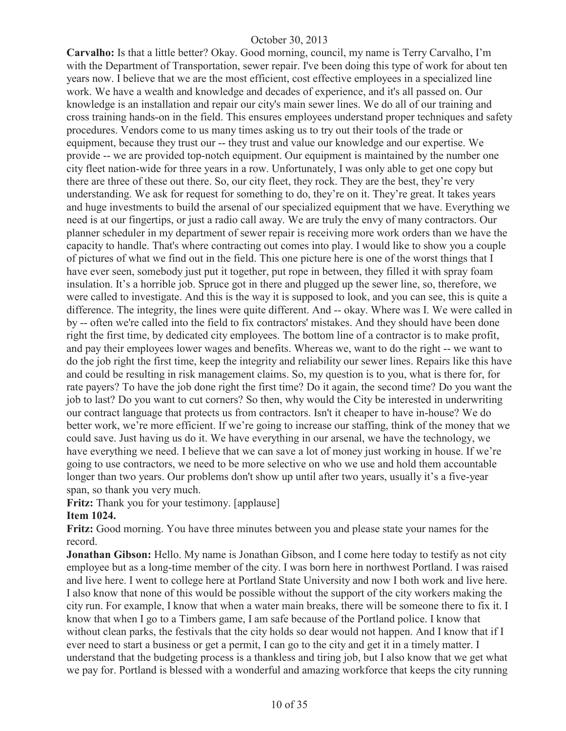**Carvalho:** Is that a little better? Okay. Good morning, council, my name is Terry Carvalho, I'm with the Department of Transportation, sewer repair. I've been doing this type of work for about ten years now. I believe that we are the most efficient, cost effective employees in a specialized line work. We have a wealth and knowledge and decades of experience, and it's all passed on. Our knowledge is an installation and repair our city's main sewer lines. We do all of our training and cross training hands-on in the field. This ensures employees understand proper techniques and safety procedures. Vendors come to us many times asking us to try out their tools of the trade or equipment, because they trust our -- they trust and value our knowledge and our expertise. We provide -- we are provided top-notch equipment. Our equipment is maintained by the number one city fleet nation-wide for three years in a row. Unfortunately, I was only able to get one copy but there are three of these out there. So, our city fleet, they rock. They are the best, they're very understanding. We ask for request for something to do, they're on it. They're great. It takes years and huge investments to build the arsenal of our specialized equipment that we have. Everything we need is at our fingertips, or just a radio call away. We are truly the envy of many contractors. Our planner scheduler in my department of sewer repair is receiving more work orders than we have the capacity to handle. That's where contracting out comes into play. I would like to show you a couple of pictures of what we find out in the field. This one picture here is one of the worst things that I have ever seen, somebody just put it together, put rope in between, they filled it with spray foam insulation. It's a horrible job. Spruce got in there and plugged up the sewer line, so, therefore, we were called to investigate. And this is the way it is supposed to look, and you can see, this is quite a difference. The integrity, the lines were quite different. And -- okay. Where was I. We were called in by -- often we're called into the field to fix contractors' mistakes. And they should have been done right the first time, by dedicated city employees. The bottom line of a contractor is to make profit, and pay their employees lower wages and benefits. Whereas we, want to do the right -- we want to do the job right the first time, keep the integrity and reliability our sewer lines. Repairs like this have and could be resulting in risk management claims. So, my question is to you, what is there for, for rate payers? To have the job done right the first time? Do it again, the second time? Do you want the job to last? Do you want to cut corners? So then, why would the City be interested in underwriting our contract language that protects us from contractors. Isn't it cheaper to have in-house? We do better work, we're more efficient. If we're going to increase our staffing, think of the money that we could save. Just having us do it. We have everything in our arsenal, we have the technology, we have everything we need. I believe that we can save a lot of money just working in house. If we're going to use contractors, we need to be more selective on who we use and hold them accountable longer than two years. Our problems don't show up until after two years, usually it's a five-year span, so thank you very much.

**Fritz:** Thank you for your testimony. [applause]

# **Item 1024.**

**Fritz:** Good morning. You have three minutes between you and please state your names for the record.

**Jonathan Gibson:** Hello. My name is Jonathan Gibson, and I come here today to testify as not city employee but as a long-time member of the city. I was born here in northwest Portland. I was raised and live here. I went to college here at Portland State University and now I both work and live here. I also know that none of this would be possible without the support of the city workers making the city run. For example, I know that when a water main breaks, there will be someone there to fix it. I know that when I go to a Timbers game, I am safe because of the Portland police. I know that without clean parks, the festivals that the city holds so dear would not happen. And I know that if I ever need to start a business or get a permit, I can go to the city and get it in a timely matter. I understand that the budgeting process is a thankless and tiring job, but I also know that we get what we pay for. Portland is blessed with a wonderful and amazing workforce that keeps the city running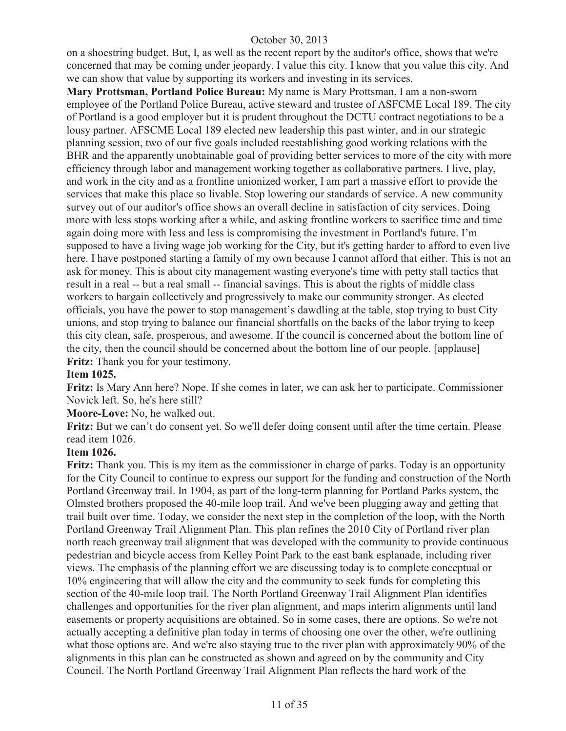on a shoestring budget. But, I, as well as the recent report by the auditor's office, shows that we're concerned that may be coming under jeopardy. I value this city. I know that you value this city. And we can show that value by supporting its workers and investing in its services.

**Mary Prottsman, Portland Police Bureau:** My name is Mary Prottsman, I am a non-sworn employee of the Portland Police Bureau, active steward and trustee of ASFCME Local 189. The city of Portland is a good employer but it is prudent throughout the DCTU contract negotiations to be a lousy partner. AFSCME Local 189 elected new leadership this past winter, and in our strategic planning session, two of our five goals included reestablishing good working relations with the BHR and the apparently unobtainable goal of providing better services to more of the city with more efficiency through labor and management working together as collaborative partners. I live, play, and work in the city and as a frontline unionized worker, I am part a massive effort to provide the services that make this place so livable. Stop lowering our standards of service. A new community survey out of our auditor's office shows an overall decline in satisfaction of city services. Doing more with less stops working after a while, and asking frontline workers to sacrifice time and time again doing more with less and less is compromising the investment in Portland's future. I'm supposed to have a living wage job working for the City, but it's getting harder to afford to even live here. I have postponed starting a family of my own because I cannot afford that either. This is not an ask for money. This is about city management wasting everyone's time with petty stall tactics that result in a real -- but a real small -- financial savings. This is about the rights of middle class workers to bargain collectively and progressively to make our community stronger. As elected officials, you have the power to stop management's dawdling at the table, stop trying to bust City unions, and stop trying to balance our financial shortfalls on the backs of the labor trying to keep this city clean, safe, prosperous, and awesome. If the council is concerned about the bottom line of the city, then the council should be concerned about the bottom line of our people. [applause] **Fritz:** Thank you for your testimony.

#### **Item 1025.**

**Fritz:** Is Mary Ann here? Nope. If she comes in later, we can ask her to participate. Commissioner Novick left. So, he's here still?

**Moore-Love:** No, he walked out.

**Fritz:** But we can't do consent yet. So we'll defer doing consent until after the time certain. Please read item 1026.

#### **Item 1026.**

**Fritz:** Thank you. This is my item as the commissioner in charge of parks. Today is an opportunity for the City Council to continue to express our support for the funding and construction of the North Portland Greenway trail. In 1904, as part of the long-term planning for Portland Parks system, the Olmsted brothers proposed the 40-mile loop trail. And we've been plugging away and getting that trail built over time. Today, we consider the next step in the completion of the loop, with the North Portland Greenway Trail Alignment Plan. This plan refines the 2010 City of Portland river plan north reach greenway trail alignment that was developed with the community to provide continuous pedestrian and bicycle access from Kelley Point Park to the east bank esplanade, including river views. The emphasis of the planning effort we are discussing today is to complete conceptual or 10% engineering that will allow the city and the community to seek funds for completing this section of the 40-mile loop trail. The North Portland Greenway Trail Alignment Plan identifies challenges and opportunities for the river plan alignment, and maps interim alignments until land easements or property acquisitions are obtained. So in some cases, there are options. So we're not actually accepting a definitive plan today in terms of choosing one over the other, we're outlining what those options are. And we're also staying true to the river plan with approximately 90% of the alignments in this plan can be constructed as shown and agreed on by the community and City Council. The North Portland Greenway Trail Alignment Plan reflects the hard work of the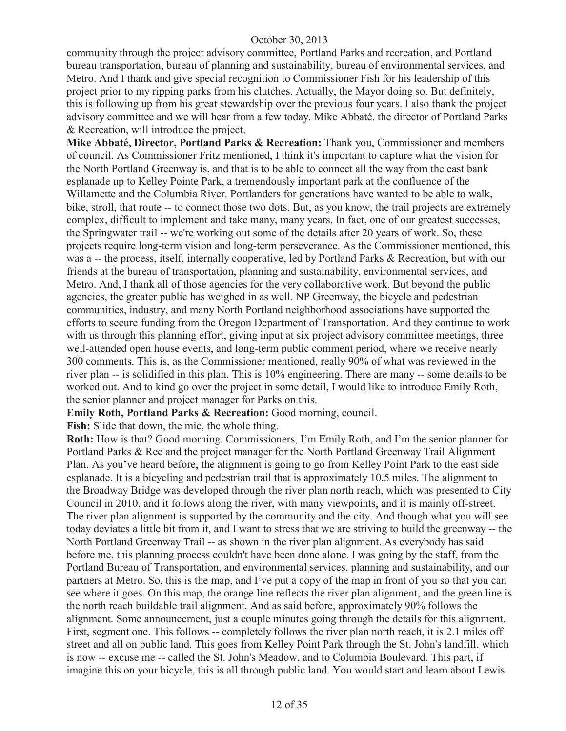community through the project advisory committee, Portland Parks and recreation, and Portland bureau transportation, bureau of planning and sustainability, bureau of environmental services, and Metro. And I thank and give special recognition to Commissioner Fish for his leadership of this project prior to my ripping parks from his clutches. Actually, the Mayor doing so. But definitely, this is following up from his great stewardship over the previous four years. I also thank the project advisory committee and we will hear from a few today. Mike Abbaté. the director of Portland Parks & Recreation, will introduce the project.

**Mike Abbaté, Director, Portland Parks & Recreation:** Thank you, Commissioner and members of council. As Commissioner Fritz mentioned, I think it's important to capture what the vision for the North Portland Greenway is, and that is to be able to connect all the way from the east bank esplanade up to Kelley Pointe Park, a tremendously important park at the confluence of the Willamette and the Columbia River. Portlanders for generations have wanted to be able to walk, bike, stroll, that route -- to connect those two dots. But, as you know, the trail projects are extremely complex, difficult to implement and take many, many years. In fact, one of our greatest successes, the Springwater trail -- we're working out some of the details after 20 years of work. So, these projects require long-term vision and long-term perseverance. As the Commissioner mentioned, this was a -- the process, itself, internally cooperative, led by Portland Parks & Recreation, but with our friends at the bureau of transportation, planning and sustainability, environmental services, and Metro. And, I thank all of those agencies for the very collaborative work. But beyond the public agencies, the greater public has weighed in as well. NP Greenway, the bicycle and pedestrian communities, industry, and many North Portland neighborhood associations have supported the efforts to secure funding from the Oregon Department of Transportation. And they continue to work with us through this planning effort, giving input at six project advisory committee meetings, three well-attended open house events, and long-term public comment period, where we receive nearly 300 comments. This is, as the Commissioner mentioned, really 90% of what was reviewed in the river plan -- is solidified in this plan. This is 10% engineering. There are many -- some details to be worked out. And to kind go over the project in some detail, I would like to introduce Emily Roth, the senior planner and project manager for Parks on this.

**Emily Roth, Portland Parks & Recreation:** Good morning, council.

Fish: Slide that down, the mic, the whole thing.

**Roth:** How is that? Good morning, Commissioners, I'm Emily Roth, and I'm the senior planner for Portland Parks & Rec and the project manager for the North Portland Greenway Trail Alignment Plan. As you've heard before, the alignment is going to go from Kelley Point Park to the east side esplanade. It is a bicycling and pedestrian trail that is approximately 10.5 miles. The alignment to the Broadway Bridge was developed through the river plan north reach, which was presented to City Council in 2010, and it follows along the river, with many viewpoints, and it is mainly off-street. The river plan alignment is supported by the community and the city. And though what you will see today deviates a little bit from it, and I want to stress that we are striving to build the greenway -- the North Portland Greenway Trail -- as shown in the river plan alignment. As everybody has said before me, this planning process couldn't have been done alone. I was going by the staff, from the Portland Bureau of Transportation, and environmental services, planning and sustainability, and our partners at Metro. So, this is the map, and I've put a copy of the map in front of you so that you can see where it goes. On this map, the orange line reflects the river plan alignment, and the green line is the north reach buildable trail alignment. And as said before, approximately 90% follows the alignment. Some announcement, just a couple minutes going through the details for this alignment. First, segment one. This follows -- completely follows the river plan north reach, it is 2.1 miles off street and all on public land. This goes from Kelley Point Park through the St. John's landfill, which is now -- excuse me -- called the St. John's Meadow, and to Columbia Boulevard. This part, if imagine this on your bicycle, this is all through public land. You would start and learn about Lewis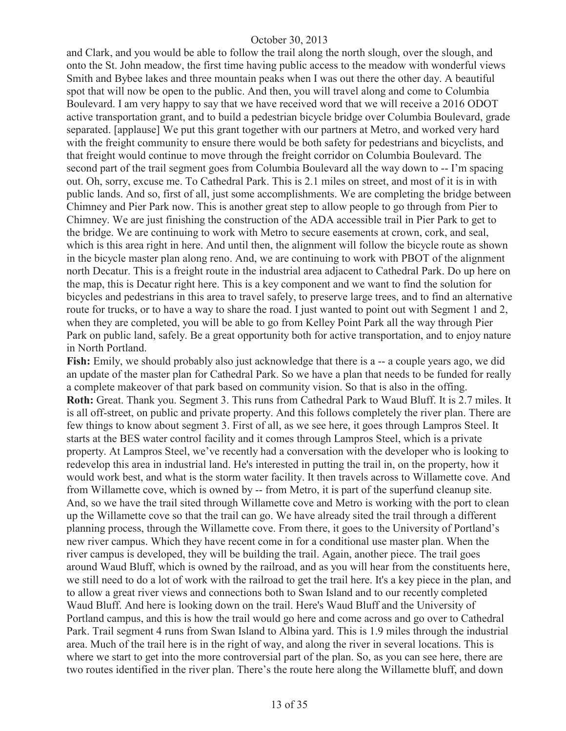and Clark, and you would be able to follow the trail along the north slough, over the slough, and onto the St. John meadow, the first time having public access to the meadow with wonderful views Smith and Bybee lakes and three mountain peaks when I was out there the other day. A beautiful spot that will now be open to the public. And then, you will travel along and come to Columbia Boulevard. I am very happy to say that we have received word that we will receive a 2016 ODOT active transportation grant, and to build a pedestrian bicycle bridge over Columbia Boulevard, grade separated. [applause] We put this grant together with our partners at Metro, and worked very hard with the freight community to ensure there would be both safety for pedestrians and bicyclists, and that freight would continue to move through the freight corridor on Columbia Boulevard. The second part of the trail segment goes from Columbia Boulevard all the way down to -- I'm spacing out. Oh, sorry, excuse me. To Cathedral Park. This is 2.1 miles on street, and most of it is in with public lands. And so, first of all, just some accomplishments. We are completing the bridge between Chimney and Pier Park now. This is another great step to allow people to go through from Pier to Chimney. We are just finishing the construction of the ADA accessible trail in Pier Park to get to the bridge. We are continuing to work with Metro to secure easements at crown, cork, and seal, which is this area right in here. And until then, the alignment will follow the bicycle route as shown in the bicycle master plan along reno. And, we are continuing to work with PBOT of the alignment north Decatur. This is a freight route in the industrial area adjacent to Cathedral Park. Do up here on the map, this is Decatur right here. This is a key component and we want to find the solution for bicycles and pedestrians in this area to travel safely, to preserve large trees, and to find an alternative route for trucks, or to have a way to share the road. I just wanted to point out with Segment 1 and 2, when they are completed, you will be able to go from Kelley Point Park all the way through Pier Park on public land, safely. Be a great opportunity both for active transportation, and to enjoy nature in North Portland.

**Fish:** Emily, we should probably also just acknowledge that there is a -- a couple years ago, we did an update of the master plan for Cathedral Park. So we have a plan that needs to be funded for really a complete makeover of that park based on community vision. So that is also in the offing. **Roth:** Great. Thank you. Segment 3. This runs from Cathedral Park to Waud Bluff. It is 2.7 miles. It is all off-street, on public and private property. And this follows completely the river plan. There are few things to know about segment 3. First of all, as we see here, it goes through Lampros Steel. It starts at the BES water control facility and it comes through Lampros Steel, which is a private property. At Lampros Steel, we've recently had a conversation with the developer who is looking to redevelop this area in industrial land. He's interested in putting the trail in, on the property, how it would work best, and what is the storm water facility. It then travels across to Willamette cove. And from Willamette cove, which is owned by -- from Metro, it is part of the superfund cleanup site. And, so we have the trail sited through Willamette cove and Metro is working with the port to clean up the Willamette cove so that the trail can go. We have already sited the trail through a different planning process, through the Willamette cove. From there, it goes to the University of Portland's new river campus. Which they have recent come in for a conditional use master plan. When the river campus is developed, they will be building the trail. Again, another piece. The trail goes around Waud Bluff, which is owned by the railroad, and as you will hear from the constituents here, we still need to do a lot of work with the railroad to get the trail here. It's a key piece in the plan, and to allow a great river views and connections both to Swan Island and to our recently completed Waud Bluff. And here is looking down on the trail. Here's Waud Bluff and the University of Portland campus, and this is how the trail would go here and come across and go over to Cathedral Park. Trail segment 4 runs from Swan Island to Albina yard. This is 1.9 miles through the industrial area. Much of the trail here is in the right of way, and along the river in several locations. This is where we start to get into the more controversial part of the plan. So, as you can see here, there are two routes identified in the river plan. There's the route here along the Willamette bluff, and down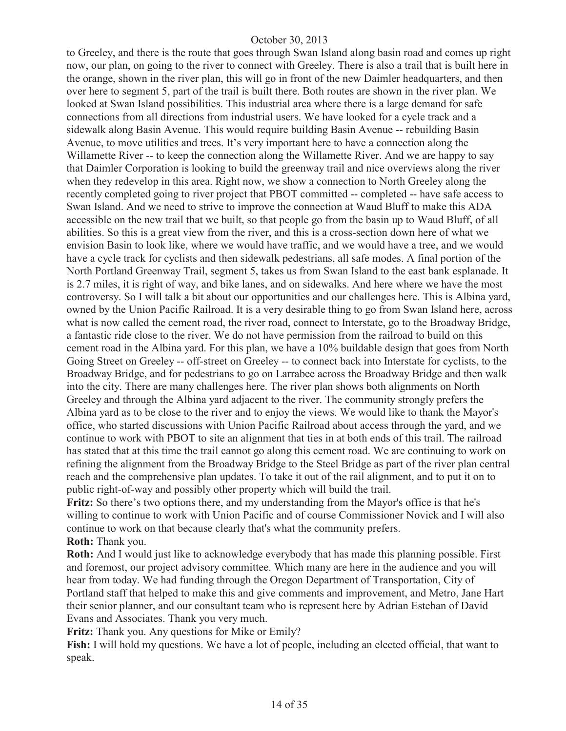to Greeley, and there is the route that goes through Swan Island along basin road and comes up right now, our plan, on going to the river to connect with Greeley. There is also a trail that is built here in the orange, shown in the river plan, this will go in front of the new Daimler headquarters, and then over here to segment 5, part of the trail is built there. Both routes are shown in the river plan. We looked at Swan Island possibilities. This industrial area where there is a large demand for safe connections from all directions from industrial users. We have looked for a cycle track and a sidewalk along Basin Avenue. This would require building Basin Avenue -- rebuilding Basin Avenue, to move utilities and trees. It's very important here to have a connection along the Willamette River -- to keep the connection along the Willamette River. And we are happy to say that Daimler Corporation is looking to build the greenway trail and nice overviews along the river when they redevelop in this area. Right now, we show a connection to North Greeley along the recently completed going to river project that PBOT committed -- completed -- have safe access to Swan Island. And we need to strive to improve the connection at Waud Bluff to make this ADA accessible on the new trail that we built, so that people go from the basin up to Waud Bluff, of all abilities. So this is a great view from the river, and this is a cross-section down here of what we envision Basin to look like, where we would have traffic, and we would have a tree, and we would have a cycle track for cyclists and then sidewalk pedestrians, all safe modes. A final portion of the North Portland Greenway Trail, segment 5, takes us from Swan Island to the east bank esplanade. It is 2.7 miles, it is right of way, and bike lanes, and on sidewalks. And here where we have the most controversy. So I will talk a bit about our opportunities and our challenges here. This is Albina yard, owned by the Union Pacific Railroad. It is a very desirable thing to go from Swan Island here, across what is now called the cement road, the river road, connect to Interstate, go to the Broadway Bridge, a fantastic ride close to the river. We do not have permission from the railroad to build on this cement road in the Albina yard. For this plan, we have a 10% buildable design that goes from North Going Street on Greeley -- off-street on Greeley -- to connect back into Interstate for cyclists, to the Broadway Bridge, and for pedestrians to go on Larrabee across the Broadway Bridge and then walk into the city. There are many challenges here. The river plan shows both alignments on North Greeley and through the Albina yard adjacent to the river. The community strongly prefers the Albina yard as to be close to the river and to enjoy the views. We would like to thank the Mayor's office, who started discussions with Union Pacific Railroad about access through the yard, and we continue to work with PBOT to site an alignment that ties in at both ends of this trail. The railroad has stated that at this time the trail cannot go along this cement road. We are continuing to work on refining the alignment from the Broadway Bridge to the Steel Bridge as part of the river plan central reach and the comprehensive plan updates. To take it out of the rail alignment, and to put it on to public right-of-way and possibly other property which will build the trail.

**Fritz:** So there's two options there, and my understanding from the Mayor's office is that he's willing to continue to work with Union Pacific and of course Commissioner Novick and I will also continue to work on that because clearly that's what the community prefers. **Roth:** Thank you.

**Roth:** And I would just like to acknowledge everybody that has made this planning possible. First and foremost, our project advisory committee. Which many are here in the audience and you will hear from today. We had funding through the Oregon Department of Transportation, City of Portland staff that helped to make this and give comments and improvement, and Metro, Jane Hart their senior planner, and our consultant team who is represent here by Adrian Esteban of David Evans and Associates. Thank you very much.

**Fritz:** Thank you. Any questions for Mike or Emily?

**Fish:** I will hold my questions. We have a lot of people, including an elected official, that want to speak.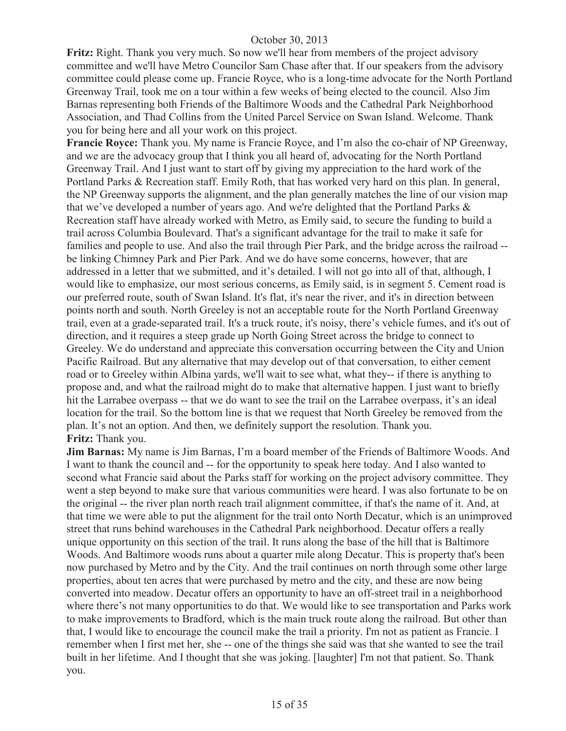**Fritz:** Right. Thank you very much. So now we'll hear from members of the project advisory committee and we'll have Metro Councilor Sam Chase after that. If our speakers from the advisory committee could please come up. Francie Royce, who is a long-time advocate for the North Portland Greenway Trail, took me on a tour within a few weeks of being elected to the council. Also Jim Barnas representing both Friends of the Baltimore Woods and the Cathedral Park Neighborhood Association, and Thad Collins from the United Parcel Service on Swan Island. Welcome. Thank you for being here and all your work on this project.

**Francie Royce:** Thank you. My name is Francie Royce, and I'm also the co-chair of NP Greenway, and we are the advocacy group that I think you all heard of, advocating for the North Portland Greenway Trail. And I just want to start off by giving my appreciation to the hard work of the Portland Parks & Recreation staff. Emily Roth, that has worked very hard on this plan. In general, the NP Greenway supports the alignment, and the plan generally matches the line of our vision map that we've developed a number of years ago. And we're delighted that the Portland Parks & Recreation staff have already worked with Metro, as Emily said, to secure the funding to build a trail across Columbia Boulevard. That's a significant advantage for the trail to make it safe for families and people to use. And also the trail through Pier Park, and the bridge across the railroad - be linking Chimney Park and Pier Park. And we do have some concerns, however, that are addressed in a letter that we submitted, and it's detailed. I will not go into all of that, although, I would like to emphasize, our most serious concerns, as Emily said, is in segment 5. Cement road is our preferred route, south of Swan Island. It's flat, it's near the river, and it's in direction between points north and south. North Greeley is not an acceptable route for the North Portland Greenway trail, even at a grade-separated trail. It's a truck route, it's noisy, there's vehicle fumes, and it's out of direction, and it requires a steep grade up North Going Street across the bridge to connect to Greeley. We do understand and appreciate this conversation occurring between the City and Union Pacific Railroad. But any alternative that may develop out of that conversation, to either cement road or to Greeley within Albina yards, we'll wait to see what, what they-- if there is anything to propose and, and what the railroad might do to make that alternative happen. I just want to briefly hit the Larrabee overpass -- that we do want to see the trail on the Larrabee overpass, it's an ideal location for the trail. So the bottom line is that we request that North Greeley be removed from the plan. It's not an option. And then, we definitely support the resolution. Thank you. **Fritz:** Thank you.

**Jim Barnas:** My name is Jim Barnas, I'm a board member of the Friends of Baltimore Woods. And I want to thank the council and -- for the opportunity to speak here today. And I also wanted to second what Francie said about the Parks staff for working on the project advisory committee. They went a step beyond to make sure that various communities were heard. I was also fortunate to be on the original -- the river plan north reach trail alignment committee, if that's the name of it. And, at that time we were able to put the alignment for the trail onto North Decatur, which is an unimproved street that runs behind warehouses in the Cathedral Park neighborhood. Decatur offers a really unique opportunity on this section of the trail. It runs along the base of the hill that is Baltimore Woods. And Baltimore woods runs about a quarter mile along Decatur. This is property that's been now purchased by Metro and by the City. And the trail continues on north through some other large properties, about ten acres that were purchased by metro and the city, and these are now being converted into meadow. Decatur offers an opportunity to have an off-street trail in a neighborhood where there's not many opportunities to do that. We would like to see transportation and Parks work to make improvements to Bradford, which is the main truck route along the railroad. But other than that, I would like to encourage the council make the trail a priority. I'm not as patient as Francie. I remember when I first met her, she -- one of the things she said was that she wanted to see the trail built in her lifetime. And I thought that she was joking. [laughter] I'm not that patient. So. Thank you.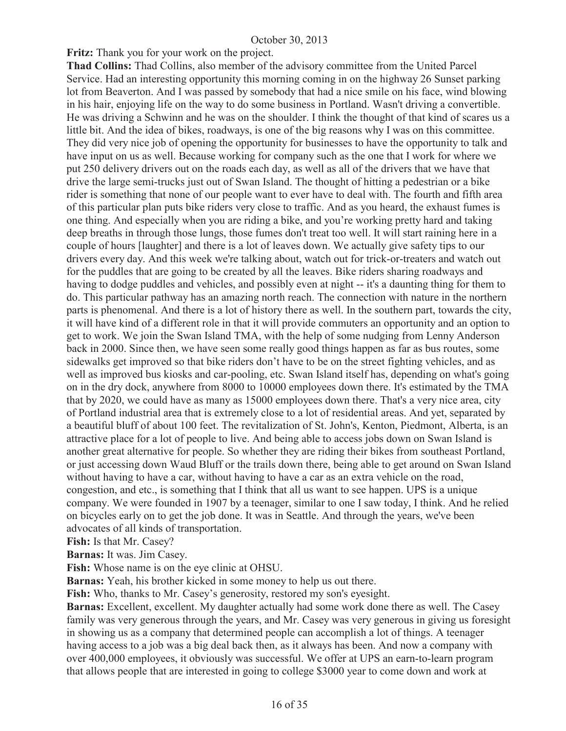**Fritz:** Thank you for your work on the project.

**Thad Collins:** Thad Collins, also member of the advisory committee from the United Parcel Service. Had an interesting opportunity this morning coming in on the highway 26 Sunset parking lot from Beaverton. And I was passed by somebody that had a nice smile on his face, wind blowing in his hair, enjoying life on the way to do some business in Portland. Wasn't driving a convertible. He was driving a Schwinn and he was on the shoulder. I think the thought of that kind of scares us a little bit. And the idea of bikes, roadways, is one of the big reasons why I was on this committee. They did very nice job of opening the opportunity for businesses to have the opportunity to talk and have input on us as well. Because working for company such as the one that I work for where we put 250 delivery drivers out on the roads each day, as well as all of the drivers that we have that drive the large semi-trucks just out of Swan Island. The thought of hitting a pedestrian or a bike rider is something that none of our people want to ever have to deal with. The fourth and fifth area of this particular plan puts bike riders very close to traffic. And as you heard, the exhaust fumes is one thing. And especially when you are riding a bike, and you're working pretty hard and taking deep breaths in through those lungs, those fumes don't treat too well. It will start raining here in a couple of hours [laughter] and there is a lot of leaves down. We actually give safety tips to our drivers every day. And this week we're talking about, watch out for trick-or-treaters and watch out for the puddles that are going to be created by all the leaves. Bike riders sharing roadways and having to dodge puddles and vehicles, and possibly even at night -- it's a daunting thing for them to do. This particular pathway has an amazing north reach. The connection with nature in the northern parts is phenomenal. And there is a lot of history there as well. In the southern part, towards the city, it will have kind of a different role in that it will provide commuters an opportunity and an option to get to work. We join the Swan Island TMA, with the help of some nudging from Lenny Anderson back in 2000. Since then, we have seen some really good things happen as far as bus routes, some sidewalks get improved so that bike riders don't have to be on the street fighting vehicles, and as well as improved bus kiosks and car-pooling, etc. Swan Island itself has, depending on what's going on in the dry dock, anywhere from 8000 to 10000 employees down there. It's estimated by the TMA that by 2020, we could have as many as 15000 employees down there. That's a very nice area, city of Portland industrial area that is extremely close to a lot of residential areas. And yet, separated by a beautiful bluff of about 100 feet. The revitalization of St. John's, Kenton, Piedmont, Alberta, is an attractive place for a lot of people to live. And being able to access jobs down on Swan Island is another great alternative for people. So whether they are riding their bikes from southeast Portland, or just accessing down Waud Bluff or the trails down there, being able to get around on Swan Island without having to have a car, without having to have a car as an extra vehicle on the road, congestion, and etc., is something that I think that all us want to see happen. UPS is a unique company. We were founded in 1907 by a teenager, similar to one I saw today, I think. And he relied on bicycles early on to get the job done. It was in Seattle. And through the years, we've been advocates of all kinds of transportation.

**Fish:** Is that Mr. Casey?

**Barnas:** It was. Jim Casey.

**Fish:** Whose name is on the eye clinic at OHSU.

**Barnas:** Yeah, his brother kicked in some money to help us out there.

**Fish:** Who, thanks to Mr. Casey's generosity, restored my son's eyesight.

**Barnas:** Excellent, excellent. My daughter actually had some work done there as well. The Casey family was very generous through the years, and Mr. Casey was very generous in giving us foresight in showing us as a company that determined people can accomplish a lot of things. A teenager having access to a job was a big deal back then, as it always has been. And now a company with over 400,000 employees, it obviously was successful. We offer at UPS an earn-to-learn program that allows people that are interested in going to college \$3000 year to come down and work at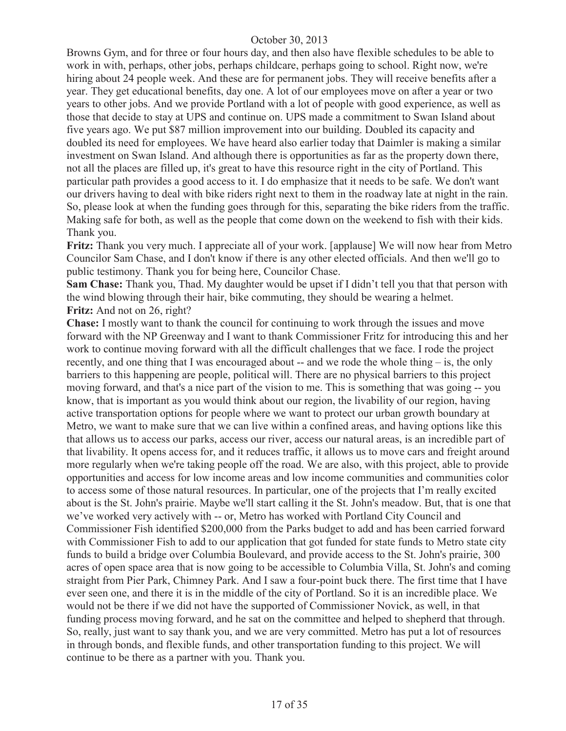Browns Gym, and for three or four hours day, and then also have flexible schedules to be able to work in with, perhaps, other jobs, perhaps childcare, perhaps going to school. Right now, we're hiring about 24 people week. And these are for permanent jobs. They will receive benefits after a year. They get educational benefits, day one. A lot of our employees move on after a year or two years to other jobs. And we provide Portland with a lot of people with good experience, as well as those that decide to stay at UPS and continue on. UPS made a commitment to Swan Island about five years ago. We put \$87 million improvement into our building. Doubled its capacity and doubled its need for employees. We have heard also earlier today that Daimler is making a similar investment on Swan Island. And although there is opportunities as far as the property down there, not all the places are filled up, it's great to have this resource right in the city of Portland. This particular path provides a good access to it. I do emphasize that it needs to be safe. We don't want our drivers having to deal with bike riders right next to them in the roadway late at night in the rain. So, please look at when the funding goes through for this, separating the bike riders from the traffic. Making safe for both, as well as the people that come down on the weekend to fish with their kids. Thank you.

**Fritz:** Thank you very much. I appreciate all of your work. [applause] We will now hear from Metro Councilor Sam Chase, and I don't know if there is any other elected officials. And then we'll go to public testimony. Thank you for being here, Councilor Chase.

**Sam Chase:** Thank you, Thad. My daughter would be upset if I didn't tell you that that person with the wind blowing through their hair, bike commuting, they should be wearing a helmet. **Fritz:** And not on 26, right?

**Chase:** I mostly want to thank the council for continuing to work through the issues and move forward with the NP Greenway and I want to thank Commissioner Fritz for introducing this and her work to continue moving forward with all the difficult challenges that we face. I rode the project recently, and one thing that I was encouraged about -- and we rode the whole thing – is, the only barriers to this happening are people, political will. There are no physical barriers to this project moving forward, and that's a nice part of the vision to me. This is something that was going -- you know, that is important as you would think about our region, the livability of our region, having active transportation options for people where we want to protect our urban growth boundary at Metro, we want to make sure that we can live within a confined areas, and having options like this that allows us to access our parks, access our river, access our natural areas, is an incredible part of that livability. It opens access for, and it reduces traffic, it allows us to move cars and freight around more regularly when we're taking people off the road. We are also, with this project, able to provide opportunities and access for low income areas and low income communities and communities color to access some of those natural resources. In particular, one of the projects that I'm really excited about is the St. John's prairie. Maybe we'll start calling it the St. John's meadow. But, that is one that we've worked very actively with -- or, Metro has worked with Portland City Council and Commissioner Fish identified \$200,000 from the Parks budget to add and has been carried forward with Commissioner Fish to add to our application that got funded for state funds to Metro state city funds to build a bridge over Columbia Boulevard, and provide access to the St. John's prairie, 300 acres of open space area that is now going to be accessible to Columbia Villa, St. John's and coming straight from Pier Park, Chimney Park. And I saw a four-point buck there. The first time that I have ever seen one, and there it is in the middle of the city of Portland. So it is an incredible place. We would not be there if we did not have the supported of Commissioner Novick, as well, in that funding process moving forward, and he sat on the committee and helped to shepherd that through. So, really, just want to say thank you, and we are very committed. Metro has put a lot of resources in through bonds, and flexible funds, and other transportation funding to this project. We will continue to be there as a partner with you. Thank you.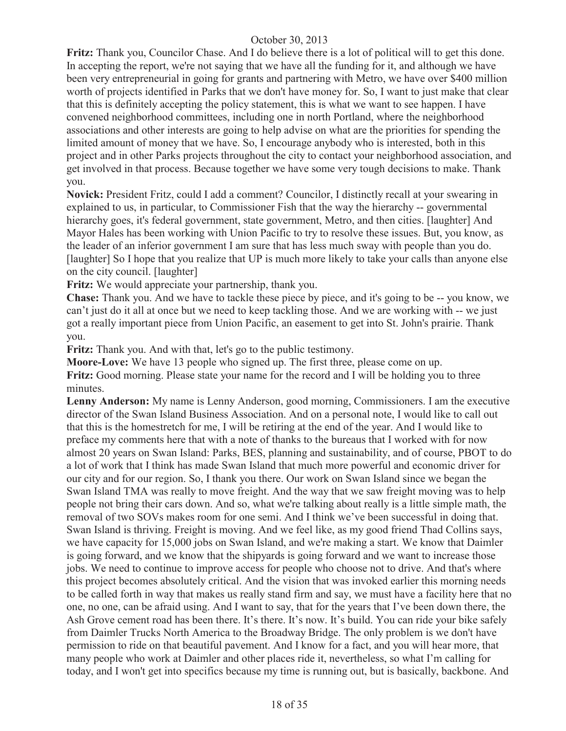**Fritz:** Thank you, Councilor Chase. And I do believe there is a lot of political will to get this done. In accepting the report, we're not saying that we have all the funding for it, and although we have been very entrepreneurial in going for grants and partnering with Metro, we have over \$400 million worth of projects identified in Parks that we don't have money for. So, I want to just make that clear that this is definitely accepting the policy statement, this is what we want to see happen. I have convened neighborhood committees, including one in north Portland, where the neighborhood associations and other interests are going to help advise on what are the priorities for spending the limited amount of money that we have. So, I encourage anybody who is interested, both in this project and in other Parks projects throughout the city to contact your neighborhood association, and get involved in that process. Because together we have some very tough decisions to make. Thank you.

**Novick:** President Fritz, could I add a comment? Councilor, I distinctly recall at your swearing in explained to us, in particular, to Commissioner Fish that the way the hierarchy -- governmental hierarchy goes, it's federal government, state government, Metro, and then cities. [laughter] And Mayor Hales has been working with Union Pacific to try to resolve these issues. But, you know, as the leader of an inferior government I am sure that has less much sway with people than you do. [laughter] So I hope that you realize that UP is much more likely to take your calls than anyone else on the city council. [laughter]

**Fritz:** We would appreciate your partnership, thank you.

**Chase:** Thank you. And we have to tackle these piece by piece, and it's going to be -- you know, we can't just do it all at once but we need to keep tackling those. And we are working with -- we just got a really important piece from Union Pacific, an easement to get into St. John's prairie. Thank you.

**Fritz:** Thank you. And with that, let's go to the public testimony.

**Moore-Love:** We have 13 people who signed up. The first three, please come on up. **Fritz:** Good morning. Please state your name for the record and I will be holding you to three minutes.

**Lenny Anderson:** My name is Lenny Anderson, good morning, Commissioners. I am the executive director of the Swan Island Business Association. And on a personal note, I would like to call out that this is the homestretch for me, I will be retiring at the end of the year. And I would like to preface my comments here that with a note of thanks to the bureaus that I worked with for now almost 20 years on Swan Island: Parks, BES, planning and sustainability, and of course, PBOT to do a lot of work that I think has made Swan Island that much more powerful and economic driver for our city and for our region. So, I thank you there. Our work on Swan Island since we began the Swan Island TMA was really to move freight. And the way that we saw freight moving was to help people not bring their cars down. And so, what we're talking about really is a little simple math, the removal of two SOVs makes room for one semi. And I think we've been successful in doing that. Swan Island is thriving. Freight is moving. And we feel like, as my good friend Thad Collins says, we have capacity for 15,000 jobs on Swan Island, and we're making a start. We know that Daimler is going forward, and we know that the shipyards is going forward and we want to increase those jobs. We need to continue to improve access for people who choose not to drive. And that's where this project becomes absolutely critical. And the vision that was invoked earlier this morning needs to be called forth in way that makes us really stand firm and say, we must have a facility here that no one, no one, can be afraid using. And I want to say, that for the years that I've been down there, the Ash Grove cement road has been there. It's there. It's now. It's build. You can ride your bike safely from Daimler Trucks North America to the Broadway Bridge. The only problem is we don't have permission to ride on that beautiful pavement. And I know for a fact, and you will hear more, that many people who work at Daimler and other places ride it, nevertheless, so what I'm calling for today, and I won't get into specifics because my time is running out, but is basically, backbone. And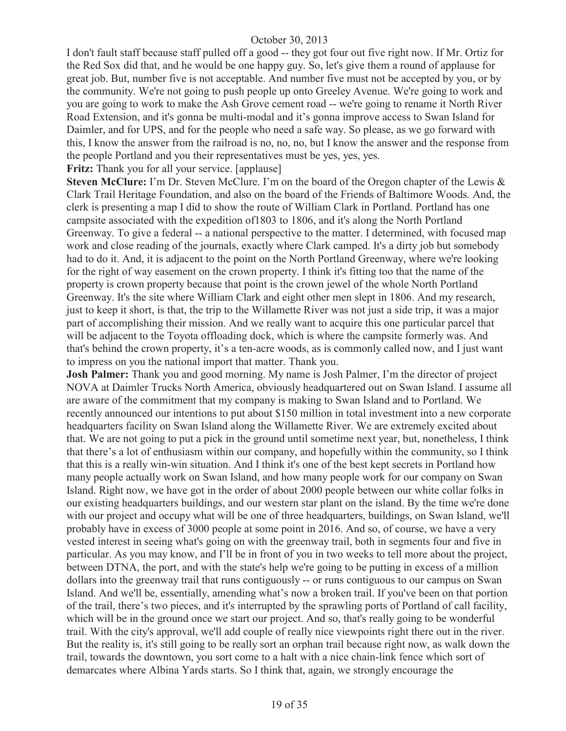I don't fault staff because staff pulled off a good -- they got four out five right now. If Mr. Ortiz for the Red Sox did that, and he would be one happy guy. So, let's give them a round of applause for great job. But, number five is not acceptable. And number five must not be accepted by you, or by the community. We're not going to push people up onto Greeley Avenue. We're going to work and you are going to work to make the Ash Grove cement road -- we're going to rename it North River Road Extension, and it's gonna be multi-modal and it's gonna improve access to Swan Island for Daimler, and for UPS, and for the people who need a safe way. So please, as we go forward with this, I know the answer from the railroad is no, no, no, but I know the answer and the response from the people Portland and you their representatives must be yes, yes, yes.

# **Fritz:** Thank you for all your service. [applause]

**Steven McClure:** I'm Dr. Steven McClure. I'm on the board of the Oregon chapter of the Lewis & Clark Trail Heritage Foundation, and also on the board of the Friends of Baltimore Woods. And, the clerk is presenting a map I did to show the route of William Clark in Portland. Portland has one campsite associated with the expedition of1803 to 1806, and it's along the North Portland Greenway. To give a federal -- a national perspective to the matter. I determined, with focused map work and close reading of the journals, exactly where Clark camped. It's a dirty job but somebody had to do it. And, it is adjacent to the point on the North Portland Greenway, where we're looking for the right of way easement on the crown property. I think it's fitting too that the name of the property is crown property because that point is the crown jewel of the whole North Portland Greenway. It's the site where William Clark and eight other men slept in 1806. And my research, just to keep it short, is that, the trip to the Willamette River was not just a side trip, it was a major part of accomplishing their mission. And we really want to acquire this one particular parcel that will be adjacent to the Toyota offloading dock, which is where the campsite formerly was. And that's behind the crown property, it's a ten-acre woods, as is commonly called now, and I just want to impress on you the national import that matter. Thank you.

**Josh Palmer:** Thank you and good morning. My name is Josh Palmer, I'm the director of project NOVA at Daimler Trucks North America, obviously headquartered out on Swan Island. I assume all are aware of the commitment that my company is making to Swan Island and to Portland. We recently announced our intentions to put about \$150 million in total investment into a new corporate headquarters facility on Swan Island along the Willamette River. We are extremely excited about that. We are not going to put a pick in the ground until sometime next year, but, nonetheless, I think that there's a lot of enthusiasm within our company, and hopefully within the community, so I think that this is a really win-win situation. And I think it's one of the best kept secrets in Portland how many people actually work on Swan Island, and how many people work for our company on Swan Island. Right now, we have got in the order of about 2000 people between our white collar folks in our existing headquarters buildings, and our western star plant on the island. By the time we're done with our project and occupy what will be one of three headquarters, buildings, on Swan Island, we'll probably have in excess of 3000 people at some point in 2016. And so, of course, we have a very vested interest in seeing what's going on with the greenway trail, both in segments four and five in particular. As you may know, and I'll be in front of you in two weeks to tell more about the project, between DTNA, the port, and with the state's help we're going to be putting in excess of a million dollars into the greenway trail that runs contiguously -- or runs contiguous to our campus on Swan Island. And we'll be, essentially, amending what's now a broken trail. If you've been on that portion of the trail, there's two pieces, and it's interrupted by the sprawling ports of Portland of call facility, which will be in the ground once we start our project. And so, that's really going to be wonderful trail. With the city's approval, we'll add couple of really nice viewpoints right there out in the river. But the reality is, it's still going to be really sort an orphan trail because right now, as walk down the trail, towards the downtown, you sort come to a halt with a nice chain-link fence which sort of demarcates where Albina Yards starts. So I think that, again, we strongly encourage the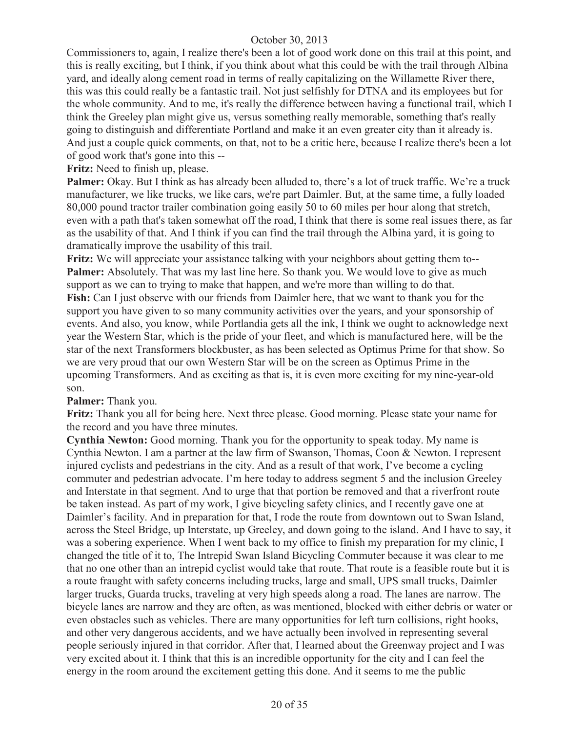Commissioners to, again, I realize there's been a lot of good work done on this trail at this point, and this is really exciting, but I think, if you think about what this could be with the trail through Albina yard, and ideally along cement road in terms of really capitalizing on the Willamette River there, this was this could really be a fantastic trail. Not just selfishly for DTNA and its employees but for the whole community. And to me, it's really the difference between having a functional trail, which I think the Greeley plan might give us, versus something really memorable, something that's really going to distinguish and differentiate Portland and make it an even greater city than it already is. And just a couple quick comments, on that, not to be a critic here, because I realize there's been a lot of good work that's gone into this --

**Fritz:** Need to finish up, please.

**Palmer:** Okay. But I think as has already been alluded to, there's a lot of truck traffic. We're a truck manufacturer, we like trucks, we like cars, we're part Daimler. But, at the same time, a fully loaded 80,000 pound tractor trailer combination going easily 50 to 60 miles per hour along that stretch, even with a path that's taken somewhat off the road, I think that there is some real issues there, as far as the usability of that. And I think if you can find the trail through the Albina yard, it is going to dramatically improve the usability of this trail.

**Fritz:** We will appreciate your assistance talking with your neighbors about getting them to-- **Palmer:** Absolutely. That was my last line here. So thank you. We would love to give as much support as we can to trying to make that happen, and we're more than willing to do that. **Fish:** Can I just observe with our friends from Daimler here, that we want to thank you for the support you have given to so many community activities over the years, and your sponsorship of events. And also, you know, while Portlandia gets all the ink, I think we ought to acknowledge next year the Western Star, which is the pride of your fleet, and which is manufactured here, will be the star of the next Transformers blockbuster, as has been selected as Optimus Prime for that show. So we are very proud that our own Western Star will be on the screen as Optimus Prime in the upcoming Transformers. And as exciting as that is, it is even more exciting for my nine-year-old son.

#### **Palmer:** Thank you.

**Fritz:** Thank you all for being here. Next three please. Good morning. Please state your name for the record and you have three minutes.

**Cynthia Newton:** Good morning. Thank you for the opportunity to speak today. My name is Cynthia Newton. I am a partner at the law firm of Swanson, Thomas, Coon & Newton. I represent injured cyclists and pedestrians in the city. And as a result of that work, I've become a cycling commuter and pedestrian advocate. I'm here today to address segment 5 and the inclusion Greeley and Interstate in that segment. And to urge that that portion be removed and that a riverfront route be taken instead. As part of my work, I give bicycling safety clinics, and I recently gave one at Daimler's facility. And in preparation for that, I rode the route from downtown out to Swan Island, across the Steel Bridge, up Interstate, up Greeley, and down going to the island. And I have to say, it was a sobering experience. When I went back to my office to finish my preparation for my clinic, I changed the title of it to, The Intrepid Swan Island Bicycling Commuter because it was clear to me that no one other than an intrepid cyclist would take that route. That route is a feasible route but it is a route fraught with safety concerns including trucks, large and small, UPS small trucks, Daimler larger trucks, Guarda trucks, traveling at very high speeds along a road. The lanes are narrow. The bicycle lanes are narrow and they are often, as was mentioned, blocked with either debris or water or even obstacles such as vehicles. There are many opportunities for left turn collisions, right hooks, and other very dangerous accidents, and we have actually been involved in representing several people seriously injured in that corridor. After that, I learned about the Greenway project and I was very excited about it. I think that this is an incredible opportunity for the city and I can feel the energy in the room around the excitement getting this done. And it seems to me the public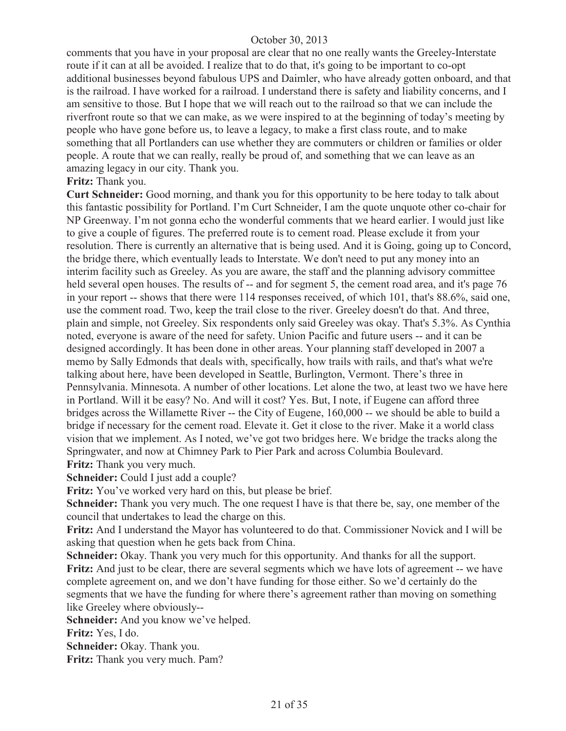comments that you have in your proposal are clear that no one really wants the Greeley-Interstate route if it can at all be avoided. I realize that to do that, it's going to be important to co-opt additional businesses beyond fabulous UPS and Daimler, who have already gotten onboard, and that is the railroad. I have worked for a railroad. I understand there is safety and liability concerns, and I am sensitive to those. But I hope that we will reach out to the railroad so that we can include the riverfront route so that we can make, as we were inspired to at the beginning of today's meeting by people who have gone before us, to leave a legacy, to make a first class route, and to make something that all Portlanders can use whether they are commuters or children or families or older people. A route that we can really, really be proud of, and something that we can leave as an amazing legacy in our city. Thank you.

#### **Fritz:** Thank you.

**Curt Schneider:** Good morning, and thank you for this opportunity to be here today to talk about this fantastic possibility for Portland. I'm Curt Schneider, I am the quote unquote other co-chair for NP Greenway. I'm not gonna echo the wonderful comments that we heard earlier. I would just like to give a couple of figures. The preferred route is to cement road. Please exclude it from your resolution. There is currently an alternative that is being used. And it is Going, going up to Concord, the bridge there, which eventually leads to Interstate. We don't need to put any money into an interim facility such as Greeley. As you are aware, the staff and the planning advisory committee held several open houses. The results of -- and for segment 5, the cement road area, and it's page 76 in your report -- shows that there were 114 responses received, of which 101, that's 88.6%, said one, use the comment road. Two, keep the trail close to the river. Greeley doesn't do that. And three, plain and simple, not Greeley. Six respondents only said Greeley was okay. That's 5.3%. As Cynthia noted, everyone is aware of the need for safety. Union Pacific and future users -- and it can be designed accordingly. It has been done in other areas. Your planning staff developed in 2007 a memo by Sally Edmonds that deals with, specifically, how trails with rails, and that's what we're talking about here, have been developed in Seattle, Burlington, Vermont. There's three in Pennsylvania. Minnesota. A number of other locations. Let alone the two, at least two we have here in Portland. Will it be easy? No. And will it cost? Yes. But, I note, if Eugene can afford three bridges across the Willamette River -- the City of Eugene, 160,000 -- we should be able to build a bridge if necessary for the cement road. Elevate it. Get it close to the river. Make it a world class vision that we implement. As I noted, we've got two bridges here. We bridge the tracks along the Springwater, and now at Chimney Park to Pier Park and across Columbia Boulevard. Fritz: Thank you very much.

**Schneider:** Could I just add a couple?

Fritz: You've worked very hard on this, but please be brief.

**Schneider:** Thank you very much. The one request I have is that there be, say, one member of the council that undertakes to lead the charge on this.

**Fritz:** And I understand the Mayor has volunteered to do that. Commissioner Novick and I will be asking that question when he gets back from China.

**Schneider:** Okay. Thank you very much for this opportunity. And thanks for all the support. **Fritz:** And just to be clear, there are several segments which we have lots of agreement -- we have complete agreement on, and we don't have funding for those either. So we'd certainly do the segments that we have the funding for where there's agreement rather than moving on something like Greeley where obviously--

**Schneider:** And you know we've helped.

**Fritz:** Yes, I do.

**Schneider:** Okay. Thank you.

**Fritz:** Thank you very much. Pam?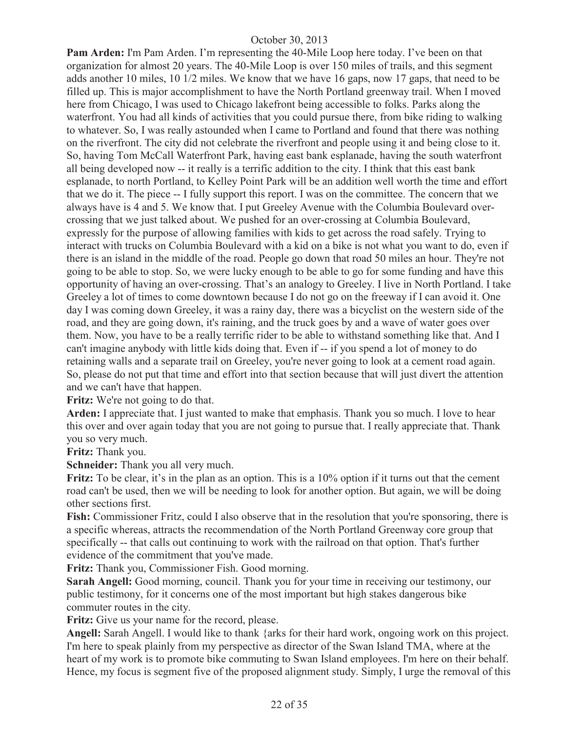**Pam Arden:** I'm Pam Arden. I'm representing the 40-Mile Loop here today. I've been on that organization for almost 20 years. The 40-Mile Loop is over 150 miles of trails, and this segment adds another 10 miles, 10 1/2 miles. We know that we have 16 gaps, now 17 gaps, that need to be filled up. This is major accomplishment to have the North Portland greenway trail. When I moved here from Chicago, I was used to Chicago lakefront being accessible to folks. Parks along the waterfront. You had all kinds of activities that you could pursue there, from bike riding to walking to whatever. So, I was really astounded when I came to Portland and found that there was nothing on the riverfront. The city did not celebrate the riverfront and people using it and being close to it. So, having Tom McCall Waterfront Park, having east bank esplanade, having the south waterfront all being developed now -- it really is a terrific addition to the city. I think that this east bank esplanade, to north Portland, to Kelley Point Park will be an addition well worth the time and effort that we do it. The piece -- I fully support this report. I was on the committee. The concern that we always have is 4 and 5. We know that. I put Greeley Avenue with the Columbia Boulevard overcrossing that we just talked about. We pushed for an over-crossing at Columbia Boulevard, expressly for the purpose of allowing families with kids to get across the road safely. Trying to interact with trucks on Columbia Boulevard with a kid on a bike is not what you want to do, even if there is an island in the middle of the road. People go down that road 50 miles an hour. They're not going to be able to stop. So, we were lucky enough to be able to go for some funding and have this opportunity of having an over-crossing. That's an analogy to Greeley. I live in North Portland. I take Greeley a lot of times to come downtown because I do not go on the freeway if I can avoid it. One day I was coming down Greeley, it was a rainy day, there was a bicyclist on the western side of the road, and they are going down, it's raining, and the truck goes by and a wave of water goes over them. Now, you have to be a really terrific rider to be able to withstand something like that. And I can't imagine anybody with little kids doing that. Even if -- if you spend a lot of money to do retaining walls and a separate trail on Greeley, you're never going to look at a cement road again. So, please do not put that time and effort into that section because that will just divert the attention and we can't have that happen.

**Fritz:** We're not going to do that.

**Arden:** I appreciate that. I just wanted to make that emphasis. Thank you so much. I love to hear this over and over again today that you are not going to pursue that. I really appreciate that. Thank you so very much.

**Fritz:** Thank you.

**Schneider:** Thank you all very much.

**Fritz:** To be clear, it's in the plan as an option. This is a 10% option if it turns out that the cement road can't be used, then we will be needing to look for another option. But again, we will be doing other sections first.

**Fish:** Commissioner Fritz, could I also observe that in the resolution that you're sponsoring, there is a specific whereas, attracts the recommendation of the North Portland Greenway core group that specifically -- that calls out continuing to work with the railroad on that option. That's further evidence of the commitment that you've made.

**Fritz:** Thank you, Commissioner Fish. Good morning.

**Sarah Angell:** Good morning, council. Thank you for your time in receiving our testimony, our public testimony, for it concerns one of the most important but high stakes dangerous bike commuter routes in the city.

**Fritz:** Give us your name for the record, please.

**Angell:** Sarah Angell. I would like to thank {arks for their hard work, ongoing work on this project. I'm here to speak plainly from my perspective as director of the Swan Island TMA, where at the heart of my work is to promote bike commuting to Swan Island employees. I'm here on their behalf. Hence, my focus is segment five of the proposed alignment study. Simply, I urge the removal of this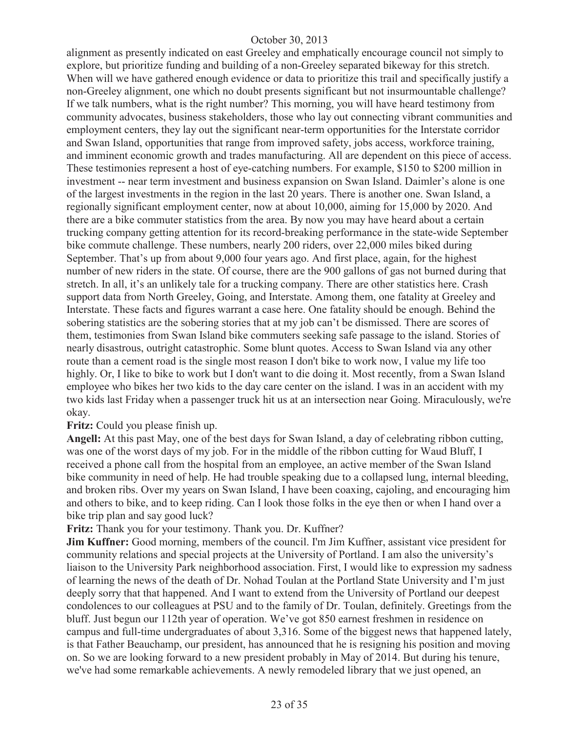alignment as presently indicated on east Greeley and emphatically encourage council not simply to explore, but prioritize funding and building of a non-Greeley separated bikeway for this stretch. When will we have gathered enough evidence or data to prioritize this trail and specifically justify a non-Greeley alignment, one which no doubt presents significant but not insurmountable challenge? If we talk numbers, what is the right number? This morning, you will have heard testimony from community advocates, business stakeholders, those who lay out connecting vibrant communities and employment centers, they lay out the significant near-term opportunities for the Interstate corridor and Swan Island, opportunities that range from improved safety, jobs access, workforce training, and imminent economic growth and trades manufacturing. All are dependent on this piece of access. These testimonies represent a host of eye-catching numbers. For example, \$150 to \$200 million in investment -- near term investment and business expansion on Swan Island. Daimler's alone is one of the largest investments in the region in the last 20 years. There is another one. Swan Island, a regionally significant employment center, now at about 10,000, aiming for 15,000 by 2020. And there are a bike commuter statistics from the area. By now you may have heard about a certain trucking company getting attention for its record-breaking performance in the state-wide September bike commute challenge. These numbers, nearly 200 riders, over 22,000 miles biked during September. That's up from about 9,000 four years ago. And first place, again, for the highest number of new riders in the state. Of course, there are the 900 gallons of gas not burned during that stretch. In all, it's an unlikely tale for a trucking company. There are other statistics here. Crash support data from North Greeley, Going, and Interstate. Among them, one fatality at Greeley and Interstate. These facts and figures warrant a case here. One fatality should be enough. Behind the sobering statistics are the sobering stories that at my job can't be dismissed. There are scores of them, testimonies from Swan Island bike commuters seeking safe passage to the island. Stories of nearly disastrous, outright catastrophic. Some blunt quotes. Access to Swan Island via any other route than a cement road is the single most reason I don't bike to work now, I value my life too highly. Or, I like to bike to work but I don't want to die doing it. Most recently, from a Swan Island employee who bikes her two kids to the day care center on the island. I was in an accident with my two kids last Friday when a passenger truck hit us at an intersection near Going. Miraculously, we're okay.

#### **Fritz:** Could you please finish up.

**Angell:** At this past May, one of the best days for Swan Island, a day of celebrating ribbon cutting, was one of the worst days of my job. For in the middle of the ribbon cutting for Waud Bluff, I received a phone call from the hospital from an employee, an active member of the Swan Island bike community in need of help. He had trouble speaking due to a collapsed lung, internal bleeding, and broken ribs. Over my years on Swan Island, I have been coaxing, cajoling, and encouraging him and others to bike, and to keep riding. Can I look those folks in the eye then or when I hand over a bike trip plan and say good luck?

**Fritz:** Thank you for your testimony. Thank you. Dr. Kuffner?

**Jim Kuffner:** Good morning, members of the council. I'm Jim Kuffner, assistant vice president for community relations and special projects at the University of Portland. I am also the university's liaison to the University Park neighborhood association. First, I would like to expression my sadness of learning the news of the death of Dr. Nohad Toulan at the Portland State University and I'm just deeply sorry that that happened. And I want to extend from the University of Portland our deepest condolences to our colleagues at PSU and to the family of Dr. Toulan, definitely. Greetings from the bluff. Just begun our 112th year of operation. We've got 850 earnest freshmen in residence on campus and full-time undergraduates of about 3,316. Some of the biggest news that happened lately, is that Father Beauchamp, our president, has announced that he is resigning his position and moving on. So we are looking forward to a new president probably in May of 2014. But during his tenure, we've had some remarkable achievements. A newly remodeled library that we just opened, an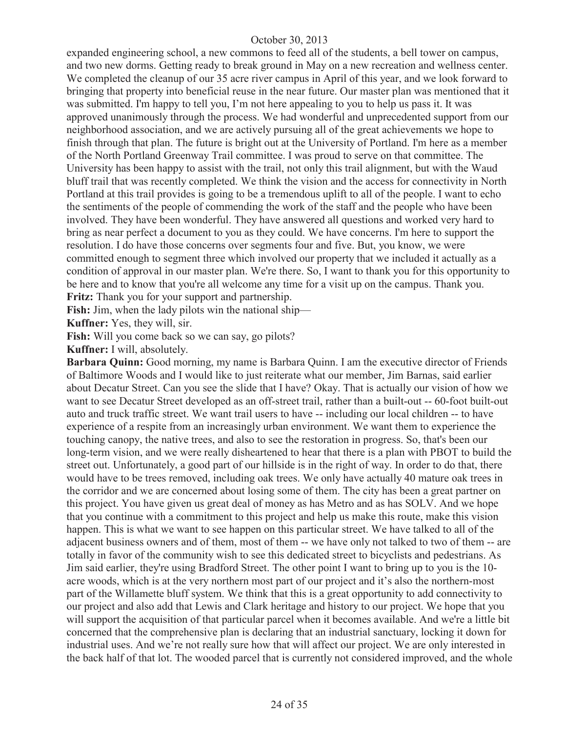expanded engineering school, a new commons to feed all of the students, a bell tower on campus, and two new dorms. Getting ready to break ground in May on a new recreation and wellness center. We completed the cleanup of our 35 acre river campus in April of this year, and we look forward to bringing that property into beneficial reuse in the near future. Our master plan was mentioned that it was submitted. I'm happy to tell you, I'm not here appealing to you to help us pass it. It was approved unanimously through the process. We had wonderful and unprecedented support from our neighborhood association, and we are actively pursuing all of the great achievements we hope to finish through that plan. The future is bright out at the University of Portland. I'm here as a member of the North Portland Greenway Trail committee. I was proud to serve on that committee. The University has been happy to assist with the trail, not only this trail alignment, but with the Waud bluff trail that was recently completed. We think the vision and the access for connectivity in North Portland at this trail provides is going to be a tremendous uplift to all of the people. I want to echo the sentiments of the people of commending the work of the staff and the people who have been involved. They have been wonderful. They have answered all questions and worked very hard to bring as near perfect a document to you as they could. We have concerns. I'm here to support the resolution. I do have those concerns over segments four and five. But, you know, we were committed enough to segment three which involved our property that we included it actually as a condition of approval in our master plan. We're there. So, I want to thank you for this opportunity to be here and to know that you're all welcome any time for a visit up on the campus. Thank you. **Fritz:** Thank you for your support and partnership.

**Fish:** Jim, when the lady pilots win the national ship—

**Kuffner:** Yes, they will, sir.

Fish: Will you come back so we can say, go pilots?

**Kuffner:** I will, absolutely.

**Barbara Quinn:** Good morning, my name is Barbara Quinn. I am the executive director of Friends of Baltimore Woods and I would like to just reiterate what our member, Jim Barnas, said earlier about Decatur Street. Can you see the slide that I have? Okay. That is actually our vision of how we want to see Decatur Street developed as an off-street trail, rather than a built-out -- 60-foot built-out auto and truck traffic street. We want trail users to have -- including our local children -- to have experience of a respite from an increasingly urban environment. We want them to experience the touching canopy, the native trees, and also to see the restoration in progress. So, that's been our long-term vision, and we were really disheartened to hear that there is a plan with PBOT to build the street out. Unfortunately, a good part of our hillside is in the right of way. In order to do that, there would have to be trees removed, including oak trees. We only have actually 40 mature oak trees in the corridor and we are concerned about losing some of them. The city has been a great partner on this project. You have given us great deal of money as has Metro and as has SOLV. And we hope that you continue with a commitment to this project and help us make this route, make this vision happen. This is what we want to see happen on this particular street. We have talked to all of the adjacent business owners and of them, most of them -- we have only not talked to two of them -- are totally in favor of the community wish to see this dedicated street to bicyclists and pedestrians. As Jim said earlier, they're using Bradford Street. The other point I want to bring up to you is the 10 acre woods, which is at the very northern most part of our project and it's also the northern-most part of the Willamette bluff system. We think that this is a great opportunity to add connectivity to our project and also add that Lewis and Clark heritage and history to our project. We hope that you will support the acquisition of that particular parcel when it becomes available. And we're a little bit concerned that the comprehensive plan is declaring that an industrial sanctuary, locking it down for industrial uses. And we're not really sure how that will affect our project. We are only interested in the back half of that lot. The wooded parcel that is currently not considered improved, and the whole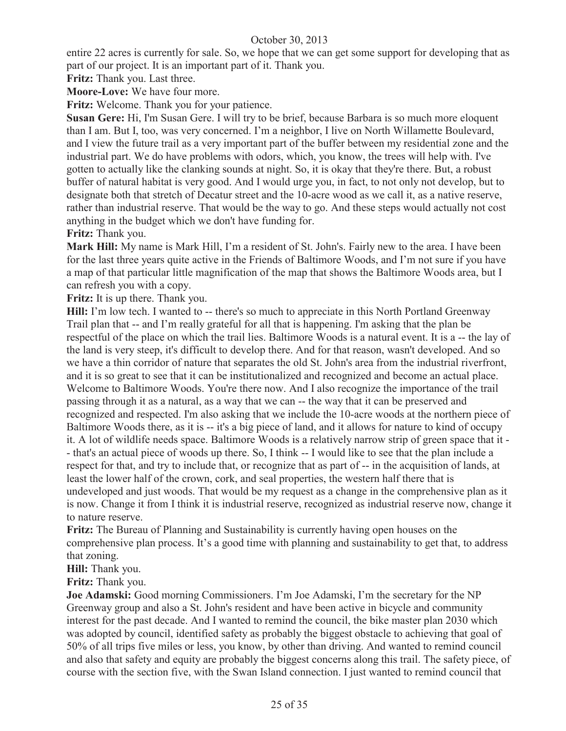entire 22 acres is currently for sale. So, we hope that we can get some support for developing that as part of our project. It is an important part of it. Thank you.

**Fritz:** Thank you. Last three.

**Moore-Love:** We have four more.

**Fritz:** Welcome. Thank you for your patience.

**Susan Gere:** Hi, I'm Susan Gere. I will try to be brief, because Barbara is so much more eloquent than I am. But I, too, was very concerned. I'm a neighbor, I live on North Willamette Boulevard, and I view the future trail as a very important part of the buffer between my residential zone and the industrial part. We do have problems with odors, which, you know, the trees will help with. I've gotten to actually like the clanking sounds at night. So, it is okay that they're there. But, a robust buffer of natural habitat is very good. And I would urge you, in fact, to not only not develop, but to designate both that stretch of Decatur street and the 10-acre wood as we call it, as a native reserve, rather than industrial reserve. That would be the way to go. And these steps would actually not cost anything in the budget which we don't have funding for.

**Fritz:** Thank you.

**Mark Hill:** My name is Mark Hill, I'm a resident of St. John's. Fairly new to the area. I have been for the last three years quite active in the Friends of Baltimore Woods, and I'm not sure if you have a map of that particular little magnification of the map that shows the Baltimore Woods area, but I can refresh you with a copy.

**Fritz:** It is up there. Thank you.

**Hill:** I'm low tech. I wanted to -- there's so much to appreciate in this North Portland Greenway Trail plan that -- and I'm really grateful for all that is happening. I'm asking that the plan be respectful of the place on which the trail lies. Baltimore Woods is a natural event. It is a -- the lay of the land is very steep, it's difficult to develop there. And for that reason, wasn't developed. And so we have a thin corridor of nature that separates the old St. John's area from the industrial riverfront, and it is so great to see that it can be institutionalized and recognized and become an actual place. Welcome to Baltimore Woods. You're there now. And I also recognize the importance of the trail passing through it as a natural, as a way that we can -- the way that it can be preserved and recognized and respected. I'm also asking that we include the 10-acre woods at the northern piece of Baltimore Woods there, as it is -- it's a big piece of land, and it allows for nature to kind of occupy it. A lot of wildlife needs space. Baltimore Woods is a relatively narrow strip of green space that it - - that's an actual piece of woods up there. So, I think -- I would like to see that the plan include a respect for that, and try to include that, or recognize that as part of -- in the acquisition of lands, at least the lower half of the crown, cork, and seal properties, the western half there that is undeveloped and just woods. That would be my request as a change in the comprehensive plan as it is now. Change it from I think it is industrial reserve, recognized as industrial reserve now, change it to nature reserve.

**Fritz:** The Bureau of Planning and Sustainability is currently having open houses on the comprehensive plan process. It's a good time with planning and sustainability to get that, to address that zoning.

**Hill:** Thank you.

**Fritz:** Thank you.

**Joe Adamski:** Good morning Commissioners. I'm Joe Adamski, I'm the secretary for the NP Greenway group and also a St. John's resident and have been active in bicycle and community interest for the past decade. And I wanted to remind the council, the bike master plan 2030 which was adopted by council, identified safety as probably the biggest obstacle to achieving that goal of 50% of all trips five miles or less, you know, by other than driving. And wanted to remind council and also that safety and equity are probably the biggest concerns along this trail. The safety piece, of course with the section five, with the Swan Island connection. I just wanted to remind council that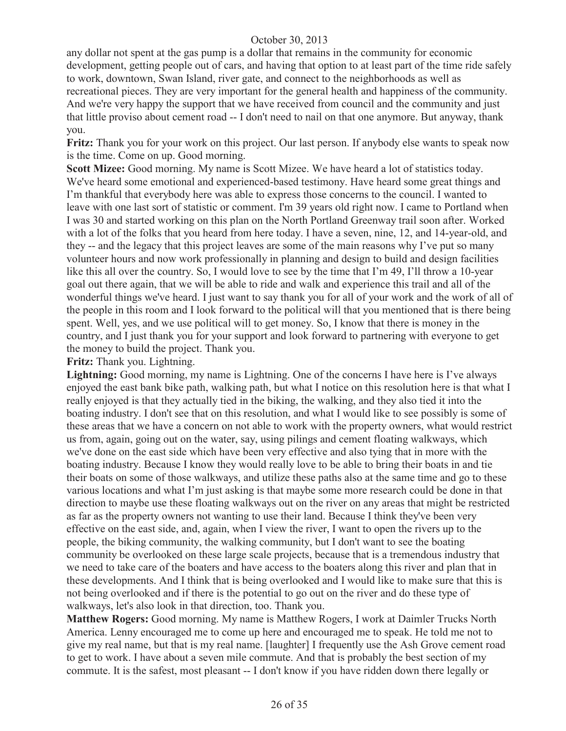any dollar not spent at the gas pump is a dollar that remains in the community for economic development, getting people out of cars, and having that option to at least part of the time ride safely to work, downtown, Swan Island, river gate, and connect to the neighborhoods as well as recreational pieces. They are very important for the general health and happiness of the community. And we're very happy the support that we have received from council and the community and just that little proviso about cement road -- I don't need to nail on that one anymore. But anyway, thank you.

**Fritz:** Thank you for your work on this project. Our last person. If anybody else wants to speak now is the time. Come on up. Good morning.

**Scott Mizee:** Good morning. My name is Scott Mizee. We have heard a lot of statistics today. We've heard some emotional and experienced-based testimony. Have heard some great things and I'm thankful that everybody here was able to express those concerns to the council. I wanted to leave with one last sort of statistic or comment. I'm 39 years old right now. I came to Portland when I was 30 and started working on this plan on the North Portland Greenway trail soon after. Worked with a lot of the folks that you heard from here today. I have a seven, nine, 12, and 14-year-old, and they -- and the legacy that this project leaves are some of the main reasons why I've put so many volunteer hours and now work professionally in planning and design to build and design facilities like this all over the country. So, I would love to see by the time that I'm 49, I'll throw a 10-year goal out there again, that we will be able to ride and walk and experience this trail and all of the wonderful things we've heard. I just want to say thank you for all of your work and the work of all of the people in this room and I look forward to the political will that you mentioned that is there being spent. Well, yes, and we use political will to get money. So, I know that there is money in the country, and I just thank you for your support and look forward to partnering with everyone to get the money to build the project. Thank you.

**Fritz:** Thank you. Lightning.

Lightning: Good morning, my name is Lightning. One of the concerns I have here is I've always enjoyed the east bank bike path, walking path, but what I notice on this resolution here is that what I really enjoyed is that they actually tied in the biking, the walking, and they also tied it into the boating industry. I don't see that on this resolution, and what I would like to see possibly is some of these areas that we have a concern on not able to work with the property owners, what would restrict us from, again, going out on the water, say, using pilings and cement floating walkways, which we've done on the east side which have been very effective and also tying that in more with the boating industry. Because I know they would really love to be able to bring their boats in and tie their boats on some of those walkways, and utilize these paths also at the same time and go to these various locations and what I'm just asking is that maybe some more research could be done in that direction to maybe use these floating walkways out on the river on any areas that might be restricted as far as the property owners not wanting to use their land. Because I think they've been very effective on the east side, and, again, when I view the river, I want to open the rivers up to the people, the biking community, the walking community, but I don't want to see the boating community be overlooked on these large scale projects, because that is a tremendous industry that we need to take care of the boaters and have access to the boaters along this river and plan that in these developments. And I think that is being overlooked and I would like to make sure that this is not being overlooked and if there is the potential to go out on the river and do these type of walkways, let's also look in that direction, too. Thank you.

**Matthew Rogers:** Good morning. My name is Matthew Rogers, I work at Daimler Trucks North America. Lenny encouraged me to come up here and encouraged me to speak. He told me not to give my real name, but that is my real name. [laughter] I frequently use the Ash Grove cement road to get to work. I have about a seven mile commute. And that is probably the best section of my commute. It is the safest, most pleasant -- I don't know if you have ridden down there legally or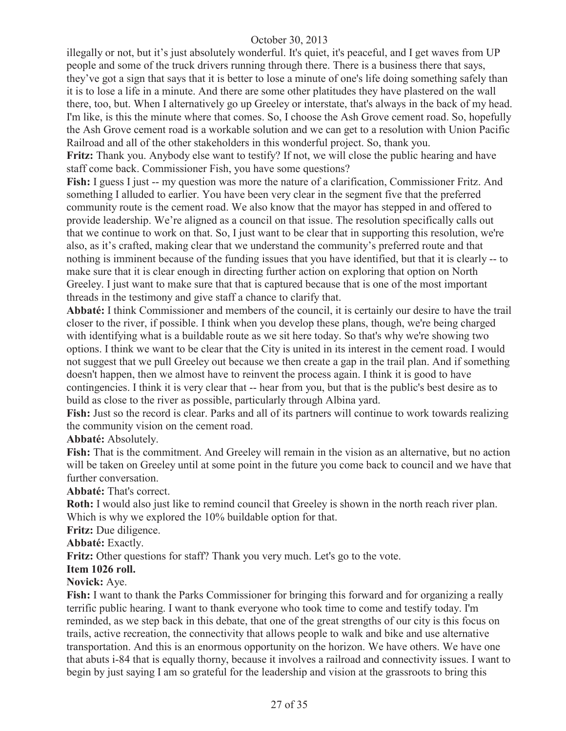illegally or not, but it's just absolutely wonderful. It's quiet, it's peaceful, and I get waves from UP people and some of the truck drivers running through there. There is a business there that says, they've got a sign that says that it is better to lose a minute of one's life doing something safely than it is to lose a life in a minute. And there are some other platitudes they have plastered on the wall there, too, but. When I alternatively go up Greeley or interstate, that's always in the back of my head. I'm like, is this the minute where that comes. So, I choose the Ash Grove cement road. So, hopefully the Ash Grove cement road is a workable solution and we can get to a resolution with Union Pacific Railroad and all of the other stakeholders in this wonderful project. So, thank you.

**Fritz:** Thank you. Anybody else want to testify? If not, we will close the public hearing and have staff come back. Commissioner Fish, you have some questions?

Fish: I guess I just -- my question was more the nature of a clarification, Commissioner Fritz. And something I alluded to earlier. You have been very clear in the segment five that the preferred community route is the cement road. We also know that the mayor has stepped in and offered to provide leadership. We're aligned as a council on that issue. The resolution specifically calls out that we continue to work on that. So, I just want to be clear that in supporting this resolution, we're also, as it's crafted, making clear that we understand the community's preferred route and that nothing is imminent because of the funding issues that you have identified, but that it is clearly -- to make sure that it is clear enough in directing further action on exploring that option on North Greeley. I just want to make sure that that is captured because that is one of the most important threads in the testimony and give staff a chance to clarify that.

**Abbaté:** I think Commissioner and members of the council, it is certainly our desire to have the trail closer to the river, if possible. I think when you develop these plans, though, we're being charged with identifying what is a buildable route as we sit here today. So that's why we're showing two options. I think we want to be clear that the City is united in its interest in the cement road. I would not suggest that we pull Greeley out because we then create a gap in the trail plan. And if something doesn't happen, then we almost have to reinvent the process again. I think it is good to have contingencies. I think it is very clear that -- hear from you, but that is the public's best desire as to build as close to the river as possible, particularly through Albina yard.

Fish: Just so the record is clear. Parks and all of its partners will continue to work towards realizing the community vision on the cement road.

#### **Abbaté:** Absolutely.

**Fish:** That is the commitment. And Greeley will remain in the vision as an alternative, but no action will be taken on Greeley until at some point in the future you come back to council and we have that further conversation.

# **Abbaté:** That's correct.

**Roth:** I would also just like to remind council that Greeley is shown in the north reach river plan. Which is why we explored the 10% buildable option for that.

**Fritz:** Due diligence.

**Abbaté:** Exactly.

**Fritz:** Other questions for staff? Thank you very much. Let's go to the vote.

#### **Item 1026 roll.**

#### **Novick:** Aye.

**Fish:** I want to thank the Parks Commissioner for bringing this forward and for organizing a really terrific public hearing. I want to thank everyone who took time to come and testify today. I'm reminded, as we step back in this debate, that one of the great strengths of our city is this focus on trails, active recreation, the connectivity that allows people to walk and bike and use alternative transportation. And this is an enormous opportunity on the horizon. We have others. We have one that abuts i-84 that is equally thorny, because it involves a railroad and connectivity issues. I want to begin by just saying I am so grateful for the leadership and vision at the grassroots to bring this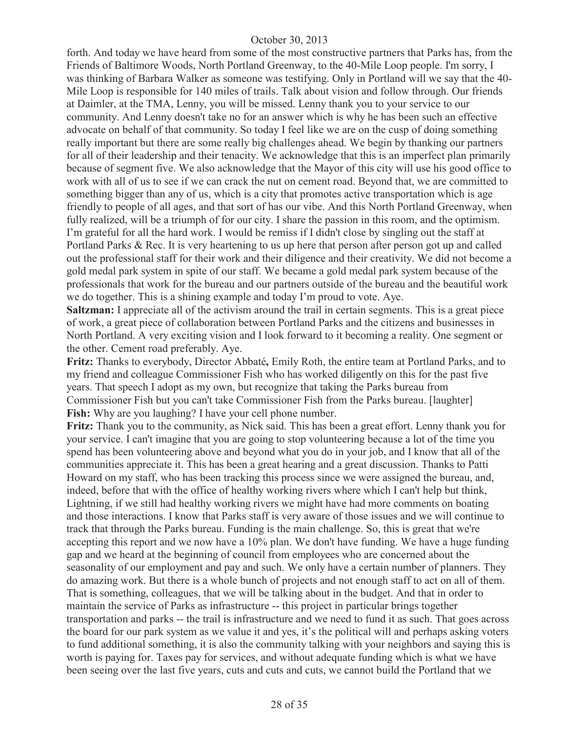forth. And today we have heard from some of the most constructive partners that Parks has, from the Friends of Baltimore Woods, North Portland Greenway, to the 40-Mile Loop people. I'm sorry, I was thinking of Barbara Walker as someone was testifying. Only in Portland will we say that the 40- Mile Loop is responsible for 140 miles of trails. Talk about vision and follow through. Our friends at Daimler, at the TMA, Lenny, you will be missed. Lenny thank you to your service to our community. And Lenny doesn't take no for an answer which is why he has been such an effective advocate on behalf of that community. So today I feel like we are on the cusp of doing something really important but there are some really big challenges ahead. We begin by thanking our partners for all of their leadership and their tenacity. We acknowledge that this is an imperfect plan primarily because of segment five. We also acknowledge that the Mayor of this city will use his good office to work with all of us to see if we can crack the nut on cement road. Beyond that, we are committed to something bigger than any of us, which is a city that promotes active transportation which is age friendly to people of all ages, and that sort of has our vibe. And this North Portland Greenway, when fully realized, will be a triumph of for our city. I share the passion in this room, and the optimism. I'm grateful for all the hard work. I would be remiss if I didn't close by singling out the staff at Portland Parks & Rec. It is very heartening to us up here that person after person got up and called out the professional staff for their work and their diligence and their creativity. We did not become a gold medal park system in spite of our staff. We became a gold medal park system because of the professionals that work for the bureau and our partners outside of the bureau and the beautiful work we do together. This is a shining example and today I'm proud to vote. Aye.

**Saltzman:** I appreciate all of the activism around the trail in certain segments. This is a great piece of work, a great piece of collaboration between Portland Parks and the citizens and businesses in North Portland. A very exciting vision and I look forward to it becoming a reality. One segment or the other. Cement road preferably. Aye.

**Fritz:** Thanks to everybody, Director Abbaté**,** Emily Roth, the entire team at Portland Parks, and to my friend and colleague Commissioner Fish who has worked diligently on this for the past five years. That speech I adopt as my own, but recognize that taking the Parks bureau from Commissioner Fish but you can't take Commissioner Fish from the Parks bureau. [laughter] **Fish:** Why are you laughing? I have your cell phone number.

**Fritz:** Thank you to the community, as Nick said. This has been a great effort. Lenny thank you for your service. I can't imagine that you are going to stop volunteering because a lot of the time you spend has been volunteering above and beyond what you do in your job, and I know that all of the communities appreciate it. This has been a great hearing and a great discussion. Thanks to Patti Howard on my staff, who has been tracking this process since we were assigned the bureau, and, indeed, before that with the office of healthy working rivers where which I can't help but think, Lightning, if we still had healthy working rivers we might have had more comments on boating and those interactions. I know that Parks staff is very aware of those issues and we will continue to track that through the Parks bureau. Funding is the main challenge. So, this is great that we're accepting this report and we now have a 10% plan. We don't have funding. We have a huge funding gap and we heard at the beginning of council from employees who are concerned about the seasonality of our employment and pay and such. We only have a certain number of planners. They do amazing work. But there is a whole bunch of projects and not enough staff to act on all of them. That is something, colleagues, that we will be talking about in the budget. And that in order to maintain the service of Parks as infrastructure -- this project in particular brings together transportation and parks -- the trail is infrastructure and we need to fund it as such. That goes across the board for our park system as we value it and yes, it's the political will and perhaps asking voters to fund additional something, it is also the community talking with your neighbors and saying this is worth is paying for. Taxes pay for services, and without adequate funding which is what we have been seeing over the last five years, cuts and cuts and cuts, we cannot build the Portland that we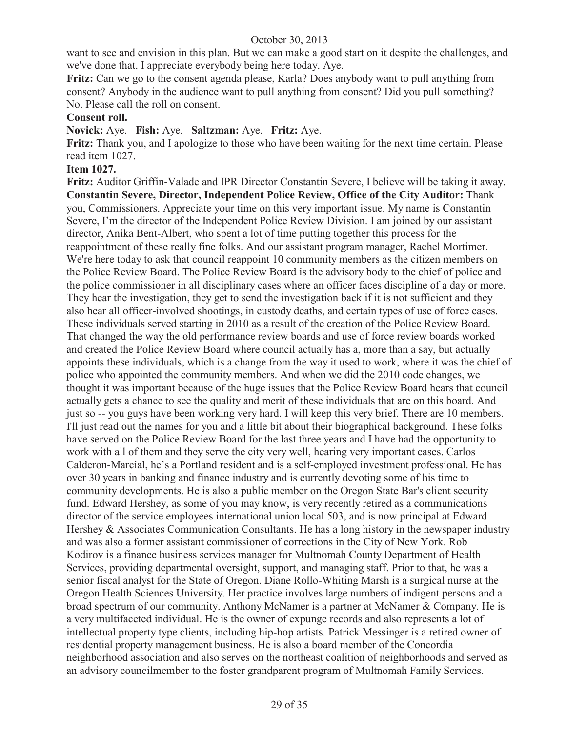want to see and envision in this plan. But we can make a good start on it despite the challenges, and we've done that. I appreciate everybody being here today. Aye.

**Fritz:** Can we go to the consent agenda please, Karla? Does anybody want to pull anything from consent? Anybody in the audience want to pull anything from consent? Did you pull something? No. Please call the roll on consent.

#### **Consent roll.**

#### **Novick:** Aye. **Fish:** Aye. **Saltzman:** Aye. **Fritz:** Aye.

Fritz: Thank you, and I apologize to those who have been waiting for the next time certain. Please read item 1027.

#### **Item 1027.**

**Fritz:** Auditor Griffin-Valade and IPR Director Constantin Severe, I believe will be taking it away. **Constantin Severe, Director, Independent Police Review, Office of the City Auditor:** Thank you, Commissioners. Appreciate your time on this very important issue. My name is Constantin Severe, I'm the director of the Independent Police Review Division. I am joined by our assistant director, Anika Bent-Albert, who spent a lot of time putting together this process for the reappointment of these really fine folks. And our assistant program manager, Rachel Mortimer. We're here today to ask that council reappoint 10 community members as the citizen members on the Police Review Board. The Police Review Board is the advisory body to the chief of police and the police commissioner in all disciplinary cases where an officer faces discipline of a day or more. They hear the investigation, they get to send the investigation back if it is not sufficient and they also hear all officer-involved shootings, in custody deaths, and certain types of use of force cases. These individuals served starting in 2010 as a result of the creation of the Police Review Board. That changed the way the old performance review boards and use of force review boards worked and created the Police Review Board where council actually has a, more than a say, but actually appoints these individuals, which is a change from the way it used to work, where it was the chief of police who appointed the community members. And when we did the 2010 code changes, we thought it was important because of the huge issues that the Police Review Board hears that council actually gets a chance to see the quality and merit of these individuals that are on this board. And just so -- you guys have been working very hard. I will keep this very brief. There are 10 members. I'll just read out the names for you and a little bit about their biographical background. These folks have served on the Police Review Board for the last three years and I have had the opportunity to work with all of them and they serve the city very well, hearing very important cases. Carlos Calderon-Marcial, he's a Portland resident and is a self-employed investment professional. He has over 30 years in banking and finance industry and is currently devoting some of his time to community developments. He is also a public member on the Oregon State Bar's client security fund. Edward Hershey, as some of you may know, is very recently retired as a communications director of the service employees international union local 503, and is now principal at Edward Hershey & Associates Communication Consultants. He has a long history in the newspaper industry and was also a former assistant commissioner of corrections in the City of New York. Rob Kodirov is a finance business services manager for Multnomah County Department of Health Services, providing departmental oversight, support, and managing staff. Prior to that, he was a senior fiscal analyst for the State of Oregon. Diane Rollo-Whiting Marsh is a surgical nurse at the Oregon Health Sciences University. Her practice involves large numbers of indigent persons and a broad spectrum of our community. Anthony McNamer is a partner at McNamer & Company. He is a very multifaceted individual. He is the owner of expunge records and also represents a lot of intellectual property type clients, including hip-hop artists. Patrick Messinger is a retired owner of residential property management business. He is also a board member of the Concordia neighborhood association and also serves on the northeast coalition of neighborhoods and served as an advisory councilmember to the foster grandparent program of Multnomah Family Services.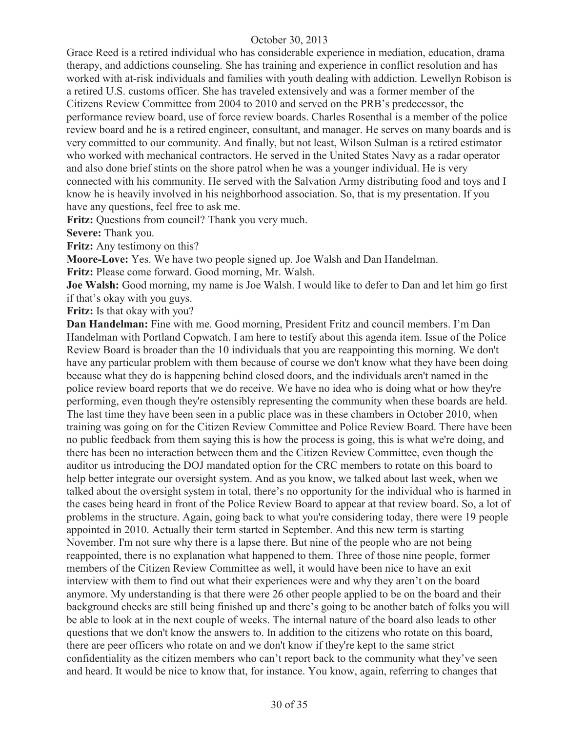Grace Reed is a retired individual who has considerable experience in mediation, education, drama therapy, and addictions counseling. She has training and experience in conflict resolution and has worked with at-risk individuals and families with youth dealing with addiction. Lewellyn Robison is a retired U.S. customs officer. She has traveled extensively and was a former member of the Citizens Review Committee from 2004 to 2010 and served on the PRB's predecessor, the performance review board, use of force review boards. Charles Rosenthal is a member of the police review board and he is a retired engineer, consultant, and manager. He serves on many boards and is very committed to our community. And finally, but not least, Wilson Sulman is a retired estimator who worked with mechanical contractors. He served in the United States Navy as a radar operator and also done brief stints on the shore patrol when he was a younger individual. He is very connected with his community. He served with the Salvation Army distributing food and toys and I know he is heavily involved in his neighborhood association. So, that is my presentation. If you have any questions, feel free to ask me.

**Fritz:** Questions from council? Thank you very much.

**Severe:** Thank you.

**Fritz:** Any testimony on this?

**Moore-Love:** Yes. We have two people signed up. Joe Walsh and Dan Handelman.

**Fritz:** Please come forward. Good morning, Mr. Walsh.

**Joe Walsh:** Good morning, my name is Joe Walsh. I would like to defer to Dan and let him go first if that's okay with you guys.

**Fritz:** Is that okay with you?

**Dan Handelman:** Fine with me. Good morning, President Fritz and council members. I'm Dan Handelman with Portland Copwatch. I am here to testify about this agenda item. Issue of the Police Review Board is broader than the 10 individuals that you are reappointing this morning. We don't have any particular problem with them because of course we don't know what they have been doing because what they do is happening behind closed doors, and the individuals aren't named in the police review board reports that we do receive. We have no idea who is doing what or how they're performing, even though they're ostensibly representing the community when these boards are held. The last time they have been seen in a public place was in these chambers in October 2010, when training was going on for the Citizen Review Committee and Police Review Board. There have been no public feedback from them saying this is how the process is going, this is what we're doing, and there has been no interaction between them and the Citizen Review Committee, even though the auditor us introducing the DOJ mandated option for the CRC members to rotate on this board to help better integrate our oversight system. And as you know, we talked about last week, when we talked about the oversight system in total, there's no opportunity for the individual who is harmed in the cases being heard in front of the Police Review Board to appear at that review board. So, a lot of problems in the structure. Again, going back to what you're considering today, there were 19 people appointed in 2010. Actually their term started in September. And this new term is starting November. I'm not sure why there is a lapse there. But nine of the people who are not being reappointed, there is no explanation what happened to them. Three of those nine people, former members of the Citizen Review Committee as well, it would have been nice to have an exit interview with them to find out what their experiences were and why they aren't on the board anymore. My understanding is that there were 26 other people applied to be on the board and their background checks are still being finished up and there's going to be another batch of folks you will be able to look at in the next couple of weeks. The internal nature of the board also leads to other questions that we don't know the answers to. In addition to the citizens who rotate on this board, there are peer officers who rotate on and we don't know if they're kept to the same strict confidentiality as the citizen members who can't report back to the community what they've seen and heard. It would be nice to know that, for instance. You know, again, referring to changes that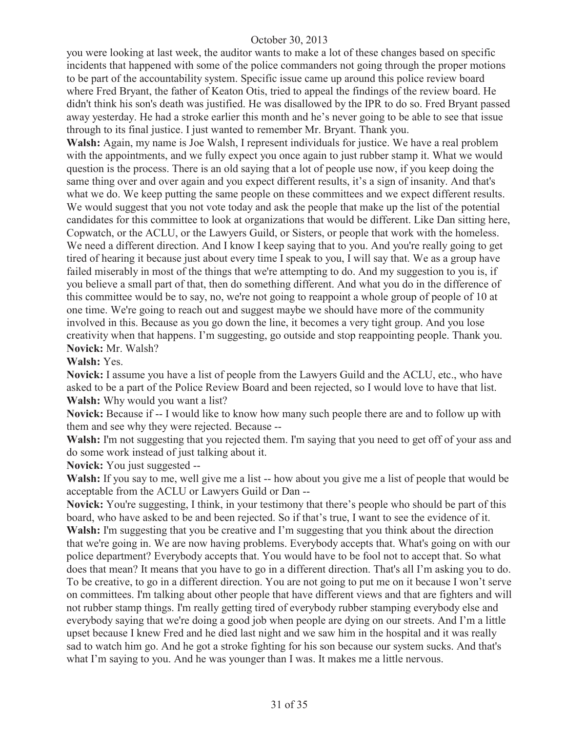you were looking at last week, the auditor wants to make a lot of these changes based on specific incidents that happened with some of the police commanders not going through the proper motions to be part of the accountability system. Specific issue came up around this police review board where Fred Bryant, the father of Keaton Otis, tried to appeal the findings of the review board. He didn't think his son's death was justified. He was disallowed by the IPR to do so. Fred Bryant passed away yesterday. He had a stroke earlier this month and he's never going to be able to see that issue through to its final justice. I just wanted to remember Mr. Bryant. Thank you.

**Walsh:** Again, my name is Joe Walsh, I represent individuals for justice. We have a real problem with the appointments, and we fully expect you once again to just rubber stamp it. What we would question is the process. There is an old saying that a lot of people use now, if you keep doing the same thing over and over again and you expect different results, it's a sign of insanity. And that's what we do. We keep putting the same people on these committees and we expect different results. We would suggest that you not vote today and ask the people that make up the list of the potential candidates for this committee to look at organizations that would be different. Like Dan sitting here, Copwatch, or the ACLU, or the Lawyers Guild, or Sisters, or people that work with the homeless. We need a different direction. And I know I keep saying that to you. And you're really going to get tired of hearing it because just about every time I speak to you, I will say that. We as a group have failed miserably in most of the things that we're attempting to do. And my suggestion to you is, if you believe a small part of that, then do something different. And what you do in the difference of this committee would be to say, no, we're not going to reappoint a whole group of people of 10 at one time. We're going to reach out and suggest maybe we should have more of the community involved in this. Because as you go down the line, it becomes a very tight group. And you lose creativity when that happens. I'm suggesting, go outside and stop reappointing people. Thank you. **Novick:** Mr. Walsh?

#### **Walsh:** Yes.

**Novick:** I assume you have a list of people from the Lawyers Guild and the ACLU, etc., who have asked to be a part of the Police Review Board and been rejected, so I would love to have that list. **Walsh:** Why would you want a list?

**Novick:** Because if -- I would like to know how many such people there are and to follow up with them and see why they were rejected. Because --

Walsh: I'm not suggesting that you rejected them. I'm saying that you need to get off of your ass and do some work instead of just talking about it.

**Novick:** You just suggested --

**Walsh:** If you say to me, well give me a list -- how about you give me a list of people that would be acceptable from the ACLU or Lawyers Guild or Dan --

**Novick:** You're suggesting, I think, in your testimony that there's people who should be part of this board, who have asked to be and been rejected. So if that's true, I want to see the evidence of it. **Walsh:** I'm suggesting that you be creative and I'm suggesting that you think about the direction that we're going in. We are now having problems. Everybody accepts that. What's going on with our police department? Everybody accepts that. You would have to be fool not to accept that. So what does that mean? It means that you have to go in a different direction. That's all I'm asking you to do. To be creative, to go in a different direction. You are not going to put me on it because I won't serve on committees. I'm talking about other people that have different views and that are fighters and will not rubber stamp things. I'm really getting tired of everybody rubber stamping everybody else and everybody saying that we're doing a good job when people are dying on our streets. And I'm a little upset because I knew Fred and he died last night and we saw him in the hospital and it was really sad to watch him go. And he got a stroke fighting for his son because our system sucks. And that's what I'm saying to you. And he was younger than I was. It makes me a little nervous.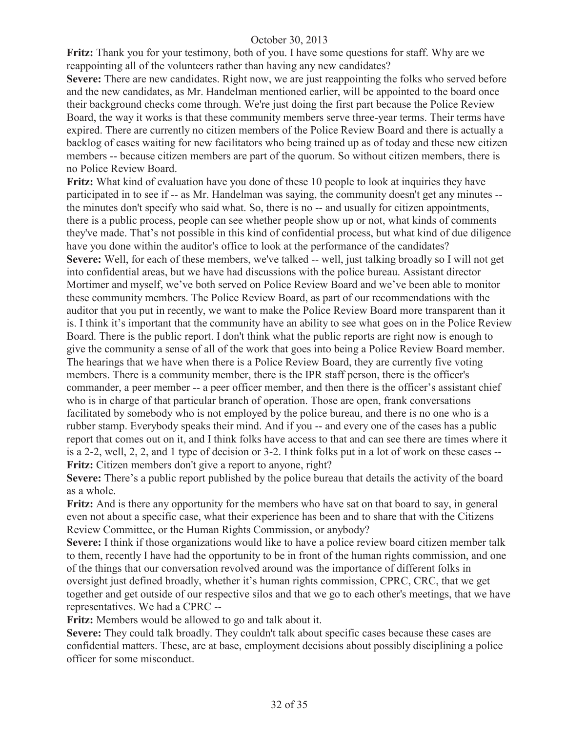**Fritz:** Thank you for your testimony, both of you. I have some questions for staff. Why are we reappointing all of the volunteers rather than having any new candidates?

**Severe:** There are new candidates. Right now, we are just reappointing the folks who served before and the new candidates, as Mr. Handelman mentioned earlier, will be appointed to the board once their background checks come through. We're just doing the first part because the Police Review Board, the way it works is that these community members serve three-year terms. Their terms have expired. There are currently no citizen members of the Police Review Board and there is actually a backlog of cases waiting for new facilitators who being trained up as of today and these new citizen members -- because citizen members are part of the quorum. So without citizen members, there is no Police Review Board.

**Fritz:** What kind of evaluation have you done of these 10 people to look at inquiries they have participated in to see if -- as Mr. Handelman was saying, the community doesn't get any minutes - the minutes don't specify who said what. So, there is no -- and usually for citizen appointments, there is a public process, people can see whether people show up or not, what kinds of comments they've made. That's not possible in this kind of confidential process, but what kind of due diligence have you done within the auditor's office to look at the performance of the candidates? **Severe:** Well, for each of these members, we've talked -- well, just talking broadly so I will not get into confidential areas, but we have had discussions with the police bureau. Assistant director Mortimer and myself, we've both served on Police Review Board and we've been able to monitor these community members. The Police Review Board, as part of our recommendations with the auditor that you put in recently, we want to make the Police Review Board more transparent than it is. I think it's important that the community have an ability to see what goes on in the Police Review Board. There is the public report. I don't think what the public reports are right now is enough to give the community a sense of all of the work that goes into being a Police Review Board member. The hearings that we have when there is a Police Review Board, they are currently five voting members. There is a community member, there is the IPR staff person, there is the officer's commander, a peer member -- a peer officer member, and then there is the officer's assistant chief who is in charge of that particular branch of operation. Those are open, frank conversations facilitated by somebody who is not employed by the police bureau, and there is no one who is a rubber stamp. Everybody speaks their mind. And if you -- and every one of the cases has a public report that comes out on it, and I think folks have access to that and can see there are times where it is a 2-2, well, 2, 2, and 1 type of decision or 3-2. I think folks put in a lot of work on these cases -- Fritz: Citizen members don't give a report to anyone, right?

**Severe:** There's a public report published by the police bureau that details the activity of the board as a whole.

**Fritz:** And is there any opportunity for the members who have sat on that board to say, in general even not about a specific case, what their experience has been and to share that with the Citizens Review Committee, or the Human Rights Commission, or anybody?

**Severe:** I think if those organizations would like to have a police review board citizen member talk to them, recently I have had the opportunity to be in front of the human rights commission, and one of the things that our conversation revolved around was the importance of different folks in oversight just defined broadly, whether it's human rights commission, CPRC, CRC, that we get together and get outside of our respective silos and that we go to each other's meetings, that we have representatives. We had a CPRC --

**Fritz:** Members would be allowed to go and talk about it.

**Severe:** They could talk broadly. They couldn't talk about specific cases because these cases are confidential matters. These, are at base, employment decisions about possibly disciplining a police officer for some misconduct.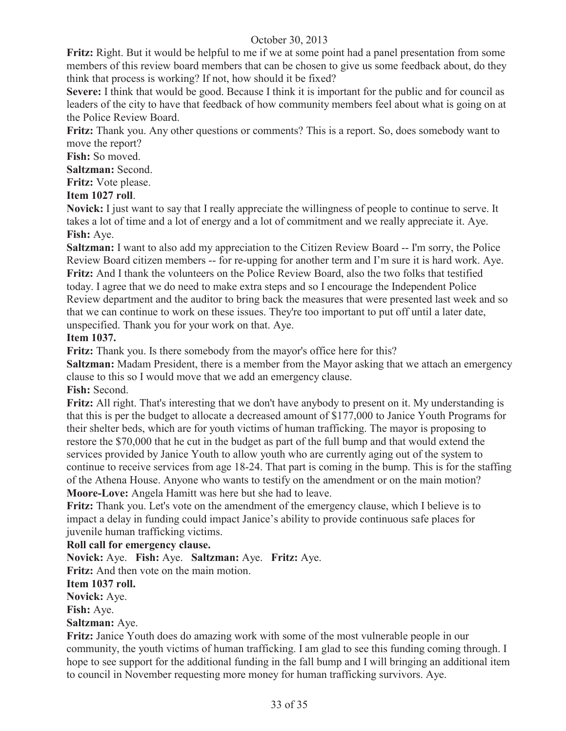**Fritz:** Right. But it would be helpful to me if we at some point had a panel presentation from some members of this review board members that can be chosen to give us some feedback about, do they think that process is working? If not, how should it be fixed?

**Severe:** I think that would be good. Because I think it is important for the public and for council as leaders of the city to have that feedback of how community members feel about what is going on at the Police Review Board.

**Fritz:** Thank you. Any other questions or comments? This is a report. So, does somebody want to move the report?

**Fish:** So moved.

**Saltzman:** Second.

**Fritz:** Vote please.

**Item 1027 roll**.

**Novick:** I just want to say that I really appreciate the willingness of people to continue to serve. It takes a lot of time and a lot of energy and a lot of commitment and we really appreciate it. Aye. **Fish:** Aye.

**Saltzman:** I want to also add my appreciation to the Citizen Review Board -- I'm sorry, the Police Review Board citizen members -- for re-upping for another term and I'm sure it is hard work. Aye. **Fritz:** And I thank the volunteers on the Police Review Board, also the two folks that testified today. I agree that we do need to make extra steps and so I encourage the Independent Police Review department and the auditor to bring back the measures that were presented last week and so that we can continue to work on these issues. They're too important to put off until a later date, unspecified. Thank you for your work on that. Aye.

**Item 1037.** 

**Fritz:** Thank you. Is there somebody from the mayor's office here for this?

**Saltzman:** Madam President, there is a member from the Mayor asking that we attach an emergency clause to this so I would move that we add an emergency clause.

**Fish:** Second.

**Fritz:** All right. That's interesting that we don't have anybody to present on it. My understanding is that this is per the budget to allocate a decreased amount of \$177,000 to Janice Youth Programs for their shelter beds, which are for youth victims of human trafficking. The mayor is proposing to restore the \$70,000 that he cut in the budget as part of the full bump and that would extend the services provided by Janice Youth to allow youth who are currently aging out of the system to continue to receive services from age 18-24. That part is coming in the bump. This is for the staffing of the Athena House. Anyone who wants to testify on the amendment or on the main motion? **Moore-Love:** Angela Hamitt was here but she had to leave.

**Fritz:** Thank you. Let's vote on the amendment of the emergency clause, which I believe is to impact a delay in funding could impact Janice's ability to provide continuous safe places for juvenile human trafficking victims.

# **Roll call for emergency clause.**

**Novick:** Aye. **Fish:** Aye. **Saltzman:** Aye. **Fritz:** Aye.

**Fritz:** And then vote on the main motion.

**Item 1037 roll.**

**Novick:** Aye.

**Fish:** Aye.

# **Saltzman:** Aye.

**Fritz:** Janice Youth does do amazing work with some of the most vulnerable people in our community, the youth victims of human trafficking. I am glad to see this funding coming through. I hope to see support for the additional funding in the fall bump and I will bringing an additional item to council in November requesting more money for human trafficking survivors. Aye.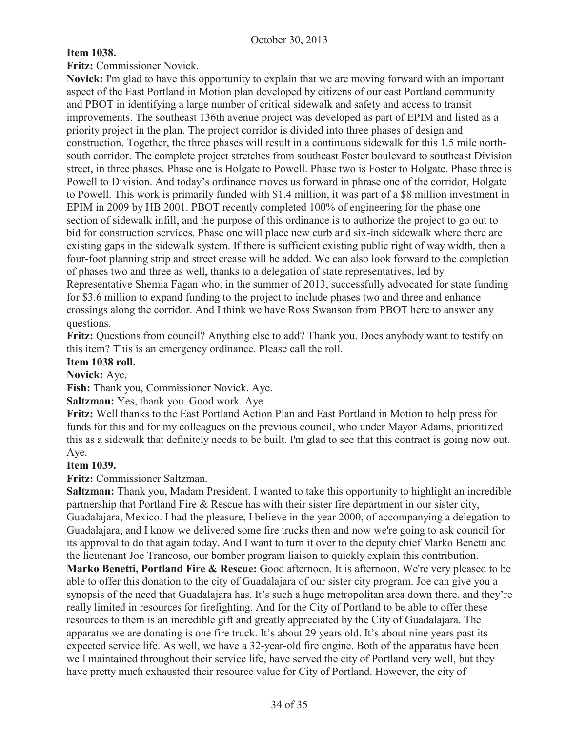# **Item 1038.**

**Fritz:** Commissioner Novick.

**Novick:** I'm glad to have this opportunity to explain that we are moving forward with an important aspect of the East Portland in Motion plan developed by citizens of our east Portland community and PBOT in identifying a large number of critical sidewalk and safety and access to transit improvements. The southeast 136th avenue project was developed as part of EPIM and listed as a priority project in the plan. The project corridor is divided into three phases of design and construction. Together, the three phases will result in a continuous sidewalk for this 1.5 mile northsouth corridor. The complete project stretches from southeast Foster boulevard to southeast Division street, in three phases. Phase one is Holgate to Powell. Phase two is Foster to Holgate. Phase three is Powell to Division. And today's ordinance moves us forward in phrase one of the corridor, Holgate to Powell. This work is primarily funded with \$1.4 million, it was part of a \$8 million investment in EPIM in 2009 by HB 2001. PBOT recently completed 100% of engineering for the phase one section of sidewalk infill, and the purpose of this ordinance is to authorize the project to go out to bid for construction services. Phase one will place new curb and six-inch sidewalk where there are existing gaps in the sidewalk system. If there is sufficient existing public right of way width, then a four-foot planning strip and street crease will be added. We can also look forward to the completion of phases two and three as well, thanks to a delegation of state representatives, led by Representative Shemia Fagan who, in the summer of 2013, successfully advocated for state funding for \$3.6 million to expand funding to the project to include phases two and three and enhance crossings along the corridor. And I think we have Ross Swanson from PBOT here to answer any questions.

**Fritz:** Questions from council? Anything else to add? Thank you. Does anybody want to testify on this item? This is an emergency ordinance. Please call the roll.

#### **Item 1038 roll.**

**Novick:** Aye.

**Fish:** Thank you, Commissioner Novick. Aye.

**Saltzman:** Yes, thank you. Good work. Aye.

**Fritz:** Well thanks to the East Portland Action Plan and East Portland in Motion to help press for funds for this and for my colleagues on the previous council, who under Mayor Adams, prioritized this as a sidewalk that definitely needs to be built. I'm glad to see that this contract is going now out. Aye.

# **Item 1039.**

**Fritz:** Commissioner Saltzman.

**Saltzman:** Thank you, Madam President. I wanted to take this opportunity to highlight an incredible partnership that Portland Fire & Rescue has with their sister fire department in our sister city, Guadalajara, Mexico. I had the pleasure, I believe in the year 2000, of accompanying a delegation to Guadalajara, and I know we delivered some fire trucks then and now we're going to ask council for its approval to do that again today. And I want to turn it over to the deputy chief Marko Benetti and the lieutenant Joe Trancoso, our bomber program liaison to quickly explain this contribution.

**Marko Benetti, Portland Fire & Rescue:** Good afternoon. It is afternoon. We're very pleased to be able to offer this donation to the city of Guadalajara of our sister city program. Joe can give you a synopsis of the need that Guadalajara has. It's such a huge metropolitan area down there, and they're really limited in resources for firefighting. And for the City of Portland to be able to offer these resources to them is an incredible gift and greatly appreciated by the City of Guadalajara. The apparatus we are donating is one fire truck. It's about 29 years old. It's about nine years past its expected service life. As well, we have a 32-year-old fire engine. Both of the apparatus have been well maintained throughout their service life, have served the city of Portland very well, but they have pretty much exhausted their resource value for City of Portland. However, the city of